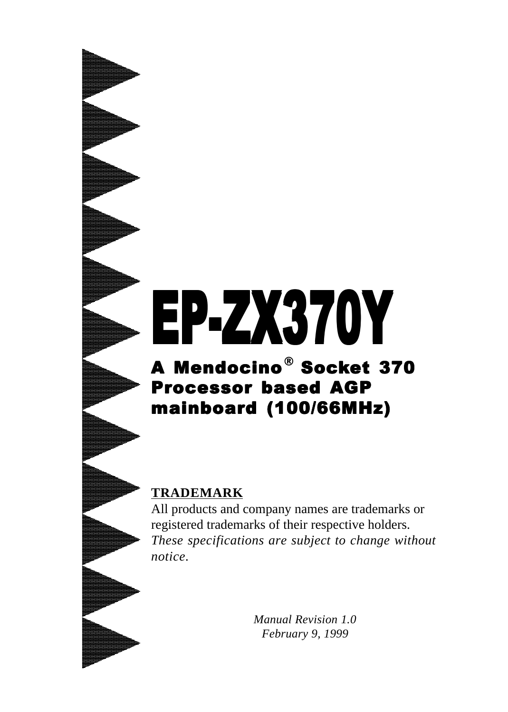# EP-ZX370Y EP-ZX370Y A Mendocino**®** Socket 370

## Processor based AGP mainboard (100/66MHz)

#### **TRADEMARK**

All products and company names are trademarks or registered trademarks of their respective holders. *These specifications are subject to change without notice.*

> *Manual Revision 1.0 February 9, 1999*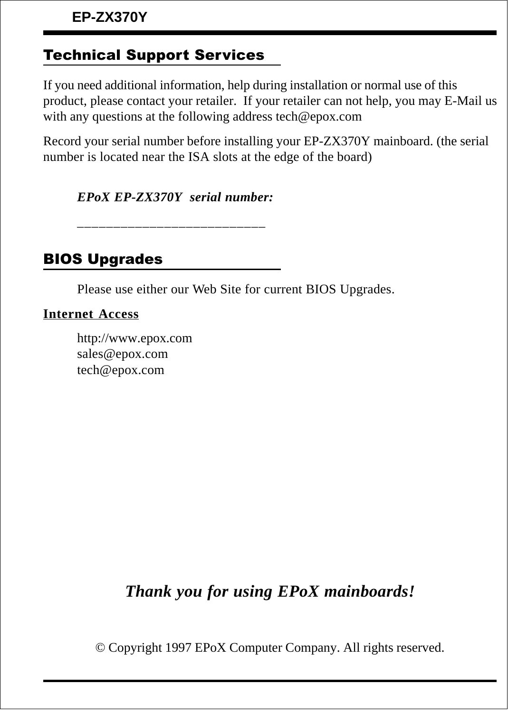#### Technical Support Services

If you need additional information, help during installation or normal use of this product, please contact your retailer. If your retailer can not help, you may E-Mail us with any questions at the following address tech@epox.com

Record your serial number before installing your EP-ZX370Y mainboard. (the serial number is located near the ISA slots at the edge of the board)

#### *EPoX EP-ZX370Y serial number:*

\_\_\_\_\_\_\_\_\_\_\_\_\_\_\_\_\_\_\_\_\_\_\_\_\_\_

#### BIOS Upgrades

Please use either our Web Site for current BIOS Upgrades.

#### **Internet Access**

http://www.epox.com sales@epox.com tech@epox.com

### *Thank you for using EPoX mainboards!*

© Copyright 1997 EPoX Computer Company. All rights reserved.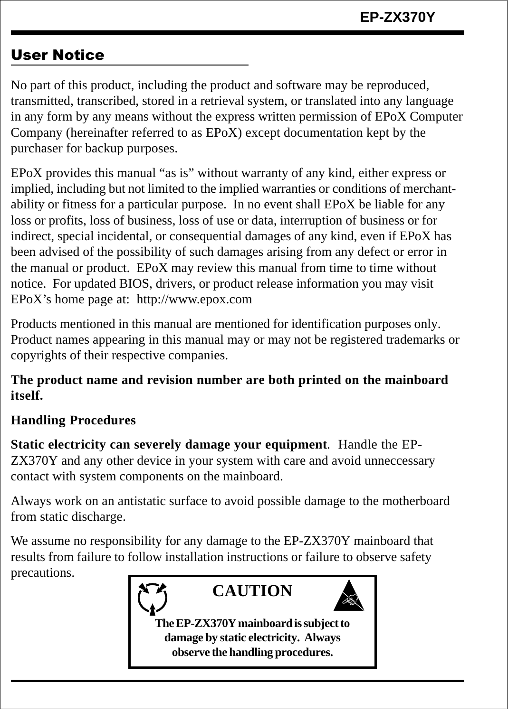### User Notice

No part of this product, including the product and software may be reproduced, transmitted, transcribed, stored in a retrieval system, or translated into any language in any form by any means without the express written permission of EPoX Computer Company (hereinafter referred to as EPoX) except documentation kept by the purchaser for backup purposes.

EPoX provides this manual "as is" without warranty of any kind, either express or implied, including but not limited to the implied warranties or conditions of merchantability or fitness for a particular purpose. In no event shall EPoX be liable for any loss or profits, loss of business, loss of use or data, interruption of business or for indirect, special incidental, or consequential damages of any kind, even if EPoX has been advised of the possibility of such damages arising from any defect or error in the manual or product. EPoX may review this manual from time to time without notice. For updated BIOS, drivers, or product release information you may visit EPoX's home page at: http://www.epox.com

Products mentioned in this manual are mentioned for identification purposes only. Product names appearing in this manual may or may not be registered trademarks or copyrights of their respective companies.

#### **The product name and revision number are both printed on the mainboard itself.**

#### **Handling Procedures**

**Static electricity can severely damage your equipment**. Handle the EP-ZX370Y and any other device in your system with care and avoid unneccessary contact with system components on the mainboard.

Always work on an antistatic surface to avoid possible damage to the motherboard from static discharge.

We assume no responsibility for any damage to the EP-ZX370Y mainboard that results from failure to follow installation instructions or failure to observe safety precautions.

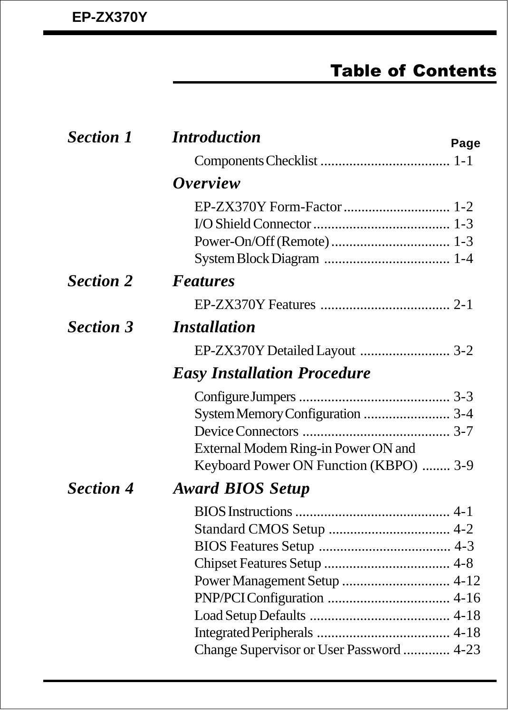### Table of Contents

| <i>Introduction</i><br>Page                                                                                       |
|-------------------------------------------------------------------------------------------------------------------|
|                                                                                                                   |
| Overview                                                                                                          |
|                                                                                                                   |
| <b>Features</b>                                                                                                   |
|                                                                                                                   |
| <i><b>Installation</b></i>                                                                                        |
|                                                                                                                   |
| <b>Easy Installation Procedure</b>                                                                                |
| System Memory Configuration  3-4<br>External Modem Ring-in Power ON and<br>Keyboard Power ON Function (KBPO)  3-9 |
| <b>Award BIOS Setup</b>                                                                                           |
| Change Supervisor or User Password  4-23                                                                          |
|                                                                                                                   |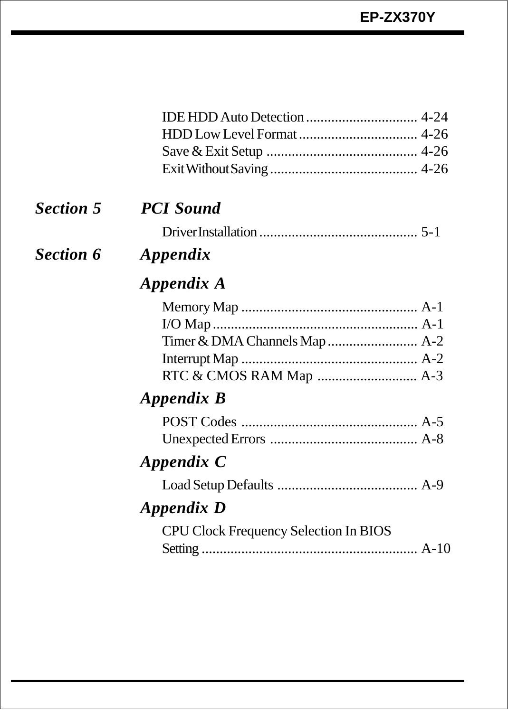| <b>Section 5</b> | <b>PCI</b> Sound                      |
|------------------|---------------------------------------|
|                  |                                       |
| <b>Section 6</b> | <i><b>Appendix</b></i>                |
|                  | Appendix A                            |
|                  |                                       |
|                  |                                       |
|                  |                                       |
|                  |                                       |
|                  | RTC & CMOS RAM Map  A-3               |
|                  | Appendix B                            |
|                  |                                       |
|                  |                                       |
|                  | Appendix C                            |
|                  |                                       |
|                  | Appendix D                            |
|                  | CPU Clock Frequency Selection In BIOS |
|                  |                                       |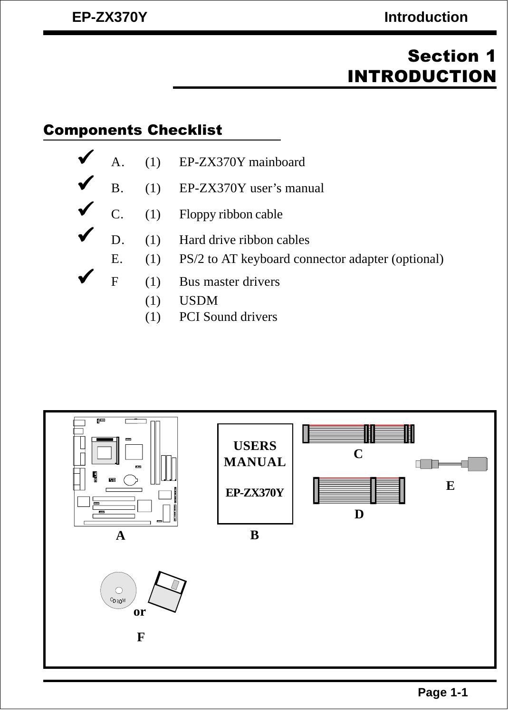### Section 1 INTRODUCTION

#### Components Checklist

- ü A. (1) EP-ZX370Y mainboard
- B. (1) EP-ZX370Y user's manual
- C. (1) Floppy ribbon cable
- D. (1) Hard drive ribbon cables
	- E. (1) PS/2 to AT keyboard connector adapter (optional)
		- $F \t(1)$  Bus master drivers
			- (1) USDM
			- (1) PCI Sound drivers

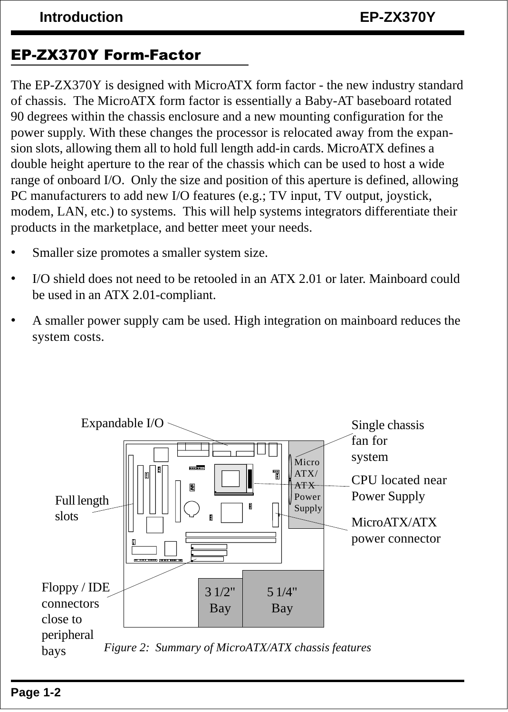#### EP-ZX370Y Form-Factor

The EP-ZX370Y is designed with MicroATX form factor - the new industry standard of chassis. The MicroATX form factor is essentially a Baby-AT baseboard rotated 90 degrees within the chassis enclosure and a new mounting configuration for the power supply. With these changes the processor is relocated away from the expansion slots, allowing them all to hold full length add-in cards. MicroATX defines a double height aperture to the rear of the chassis which can be used to host a wide range of onboard I/O. Only the size and position of this aperture is defined, allowing PC manufacturers to add new I/O features (e.g.; TV input, TV output, joystick, modem, LAN, etc.) to systems. This will help systems integrators differentiate their products in the marketplace, and better meet your needs.

- Smaller size promotes a smaller system size.
- I/O shield does not need to be retooled in an ATX 2.01 or later. Mainboard could be used in an ATX 2.01-compliant.
- A smaller power supply cam be used. High integration on mainboard reduces the system costs.

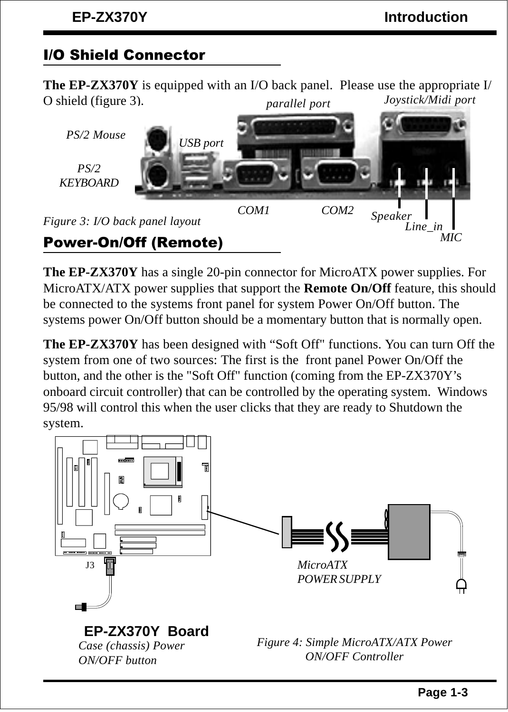#### I/O Shield Connector

**The EP-ZX370Y** is equipped with an I/O back panel. Please use the appropriate I/ O shield (figure 3). *parallel port Joystick/Midi port*



**The EP-ZX370Y** has a single 20-pin connector for MicroATX power supplies. For MicroATX/ATX power supplies that support the **Remote On/Off** feature, this should be connected to the systems front panel for system Power On/Off button. The systems power On/Off button should be a momentary button that is normally open.

**The EP-ZX370Y** has been designed with "Soft Off" functions. You can turn Off the system from one of two sources: The first is the front panel Power On/Off the button, and the other is the "Soft Off" function (coming from the EP-ZX370Y's onboard circuit controller) that can be controlled by the operating system. Windows 95/98 will control this when the user clicks that they are ready to Shutdown the system.

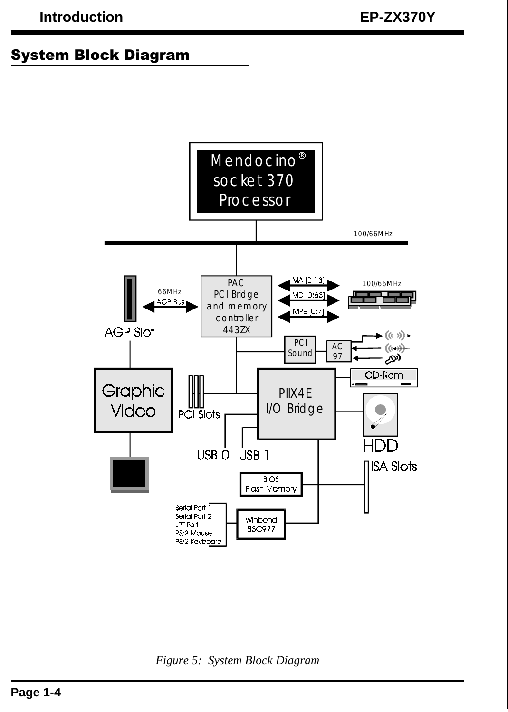#### System Block Diagram



*Figure 5: System Block Diagram*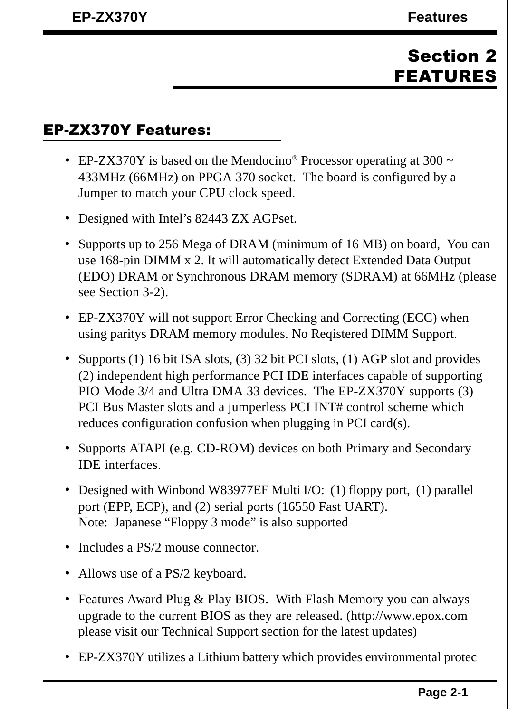### Section 2 FEATURES

#### EP-ZX370Y Features:

- EP-ZX370Y is based on the Mendocino<sup>®</sup> Processor operating at 300  $\sim$ 433MHz (66MHz) on PPGA 370 socket. The board is configured by a Jumper to match your CPU clock speed.
- Designed with Intel's 82443 ZX AGPset.
- Supports up to 256 Mega of DRAM (minimum of 16 MB) on board, You can use 168-pin DIMM x 2. It will automatically detect Extended Data Output (EDO) DRAM or Synchronous DRAM memory (SDRAM) at 66MHz (please see Section 3-2).
- EP-ZX370Y will not support Error Checking and Correcting (ECC) when using paritys DRAM memory modules. No Reqistered DIMM Support.
- Supports (1) 16 bit ISA slots, (3) 32 bit PCI slots, (1) AGP slot and provides (2) independent high performance PCI IDE interfaces capable of supporting PIO Mode 3/4 and Ultra DMA 33 devices. The EP-ZX370Y supports (3) PCI Bus Master slots and a jumperless PCI INT# control scheme which reduces configuration confusion when plugging in PCI card(s).
- Supports ATAPI (e.g. CD-ROM) devices on both Primary and Secondary IDE interfaces.
- Designed with Winbond W83977EF Multi I/O: (1) floppy port, (1) parallel port (EPP, ECP), and (2) serial ports (16550 Fast UART). Note: Japanese "Floppy 3 mode" is also supported
- Includes a PS/2 mouse connector.
- Allows use of a PS/2 keyboard.
- Features Award Plug & Play BIOS. With Flash Memory you can always upgrade to the current BIOS as they are released. (http://www.epox.com please visit our Technical Support section for the latest updates)
- EP-ZX370Y utilizes a Lithium battery which provides environmental protec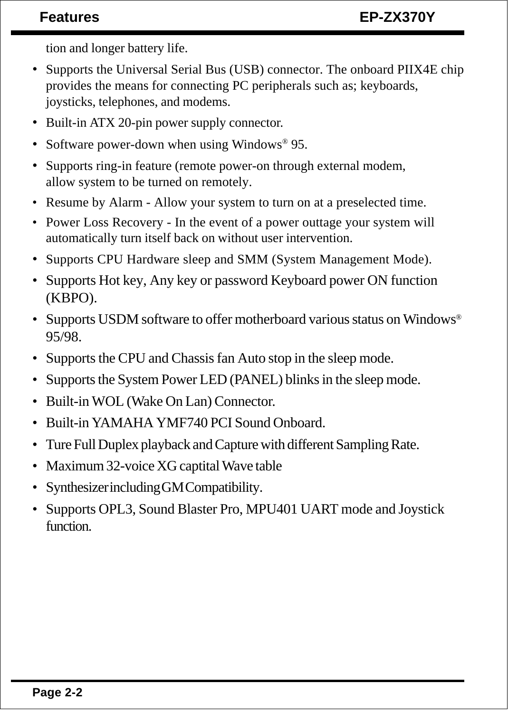tion and longer battery life.

- Supports the Universal Serial Bus (USB) connector. The onboard PIIX4E chip provides the means for connecting PC peripherals such as; keyboards, joysticks, telephones, and modems.
- Built-in ATX 20-pin power supply connector.
- Software power-down when using Windows<sup>®</sup> 95.
- Supports ring-in feature (remote power-on through external modem, allow system to be turned on remotely.
- Resume by Alarm Allow your system to turn on at a preselected time.
- Power Loss Recovery In the event of a power outtage your system will automatically turn itself back on without user intervention.
- Supports CPU Hardware sleep and SMM (System Management Mode).
- Supports Hot key, Any key or password Keyboard power ON function (KBPO).
- Supports USDM software to offer motherboard various status on Windows® 95/98.
- Supports the CPU and Chassis fan Auto stop in the sleep mode.
- Supports the System Power LED (PANEL) blinks in the sleep mode.
- Built-in WOL (Wake On Lan) Connector.
- Built-in YAMAHA YMF740 PCI Sound Onboard.
- Ture Full Duplex playback and Capture with different Sampling Rate.
- Maximum 32-voice XG captital Wave table
- Synthesizer including GM Compatibility.
- Supports OPL3, Sound Blaster Pro, MPU401 UART mode and Joystick function.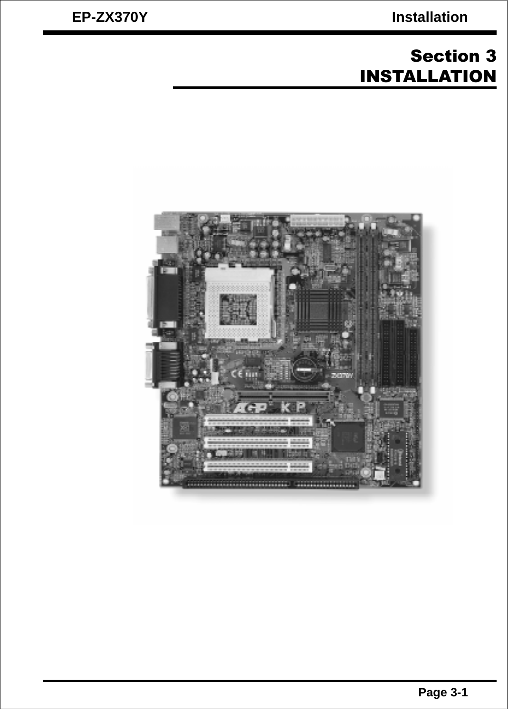### Section 3 INSTALLATION

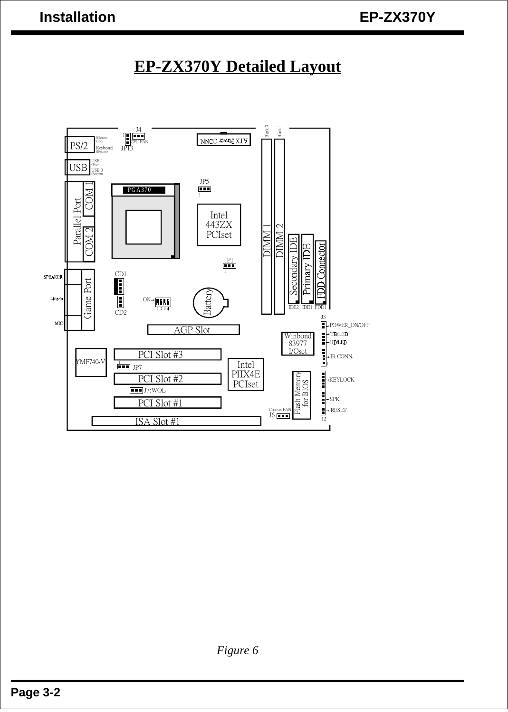### **EP-ZX370Y Detailed Layout**



*Figure 6*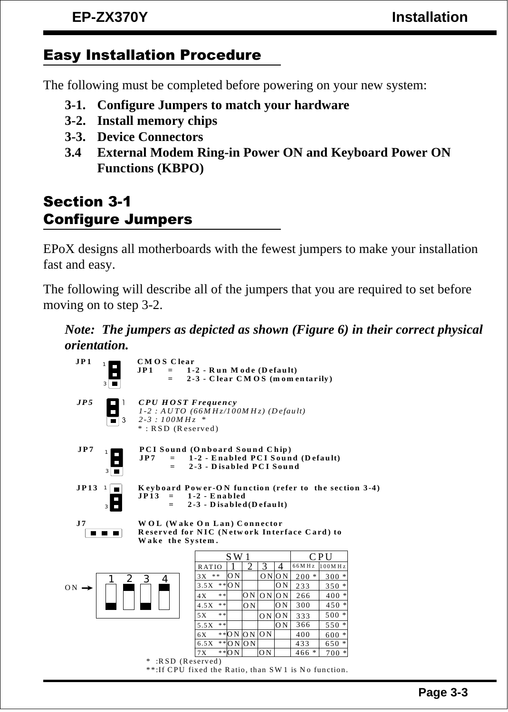#### Easy Installation Procedure

The following must be completed before powering on your new system:

- **3-1. Configure Jumpers to match your hardware**
- **3-2. Install memory chips**
- **3-3. Device Connectors**
- **3.4 External Modem Ring-in Power ON and Keyboard Power ON Functions (KBPO)**

#### Section 3-1 Configure Jumpers

EPoX designs all motherboards with the fewest jumpers to make your installation fast and easy.

The following will describe all of the jumpers that you are required to set before moving on to step 3-2.

*Note: The jumpers as depicted as shown (Figure 6) in their correct physical orientation.*

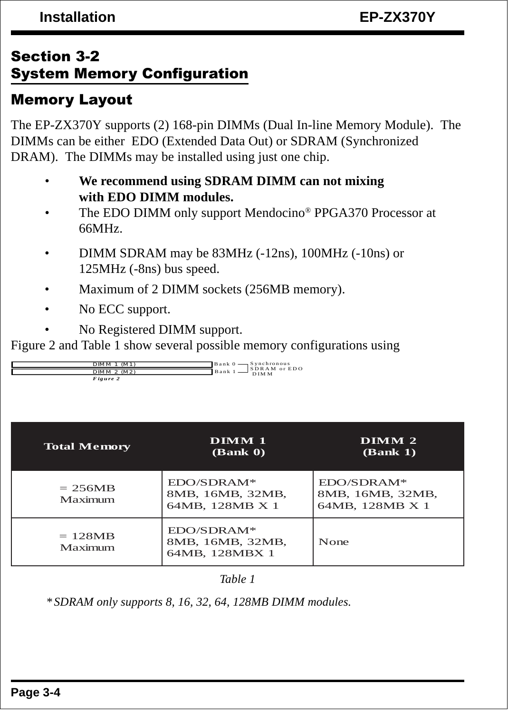#### Section 3-2 System Memory Configuration

#### Memory Layout

The EP-ZX370Y supports (2) 168-pin DIMMs (Dual In-line Memory Module). The DIMMs can be either EDO (Extended Data Out) or SDRAM (Synchronized DRAM). The DIMMs may be installed using just one chip.

- **We recommend using SDRAM DIMM can not mixing with EDO DIMM modules.**
- The EDO DIMM only support Mendocino<sup>®</sup> PPGA370 Processor at 66MHz.
- DIMM SDRAM may be 83MHz (-12ns), 100MHz (-10ns) or 125MHz (-8ns) bus speed.
- Maximum of 2 DIMM sockets (256MB memory).
- No ECC support.
- No Registered DIMM support.

Figure 2 and Table 1 show several possible memory configurations using

```
DIMM 1 (M1 )
DIMM 2 (M2 )
Figure 2
                                                                              Bank 0 Synchronous<br>Bank 1 SDRAM or EDO<br>DIM M
```

| <b>Total Memory</b>  | DIMM <sub>1</sub><br>(Bank 0)                       | DIMM <sub>2</sub><br>(Bank 1)                     |
|----------------------|-----------------------------------------------------|---------------------------------------------------|
| $= 256MB$<br>Maximum | $EDO/SDRAM*$<br>8MB, 16MB, 32MB,<br>64MB, 128MB X 1 | EDO/SDRAM*<br>8MB, 16MB, 32MB,<br>64MB, 128MB X 1 |
| $= 128MB$<br>Maximum | EDO/SDRAM*<br>8MB, 16MB, 32MB,<br>64MB, 128MBX 1    | None                                              |

*Table 1*

 *\* SDRAM only supports 8, 16, 32, 64, 128MB DIMM modules.*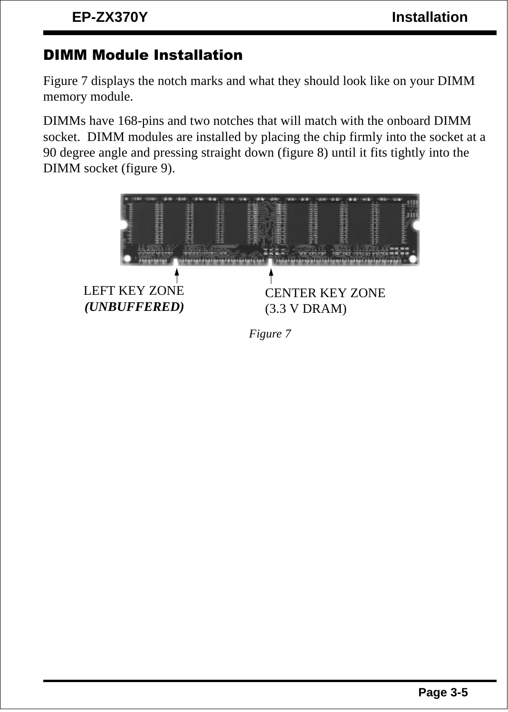#### DIMM Module Installation

Figure 7 displays the notch marks and what they should look like on your DIMM memory module.

DIMMs have 168-pins and two notches that will match with the onboard DIMM socket. DIMM modules are installed by placing the chip firmly into the socket at a 90 degree angle and pressing straight down (figure 8) until it fits tightly into the DIMM socket (figure 9).



*Figure 7*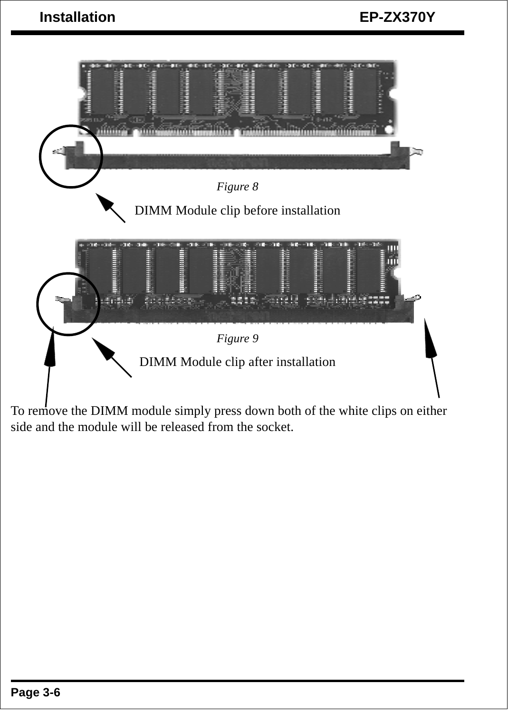

To remove the DIMM module simply press down both of the white clips on either side and the module will be released from the socket.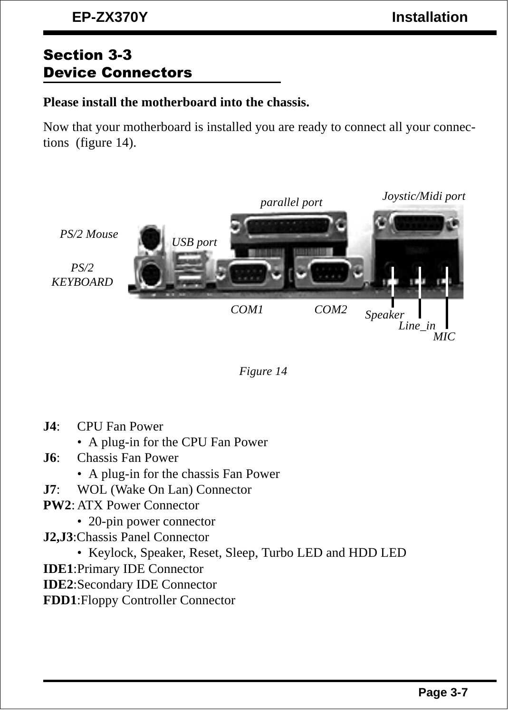#### Section 3-3 Device Connectors

#### **Please install the motherboard into the chassis.**

Now that your motherboard is installed you are ready to connect all your connections (figure 14).



*Figure 14*

- **J4**: CPU Fan Power
	- A plug-in for the CPU Fan Power
- **J6**: Chassis Fan Power
	- A plug-in for the chassis Fan Power
- **J7**: WOL (Wake On Lan) Connector
- **PW2**: ATX Power Connector
	- 20-pin power connector
- **J2,J3**:Chassis Panel Connector
	- Keylock, Speaker, Reset, Sleep, Turbo LED and HDD LED
- **IDE1**:Primary IDE Connector
- **IDE2**:Secondary IDE Connector
- **FDD1**:Floppy Controller Connector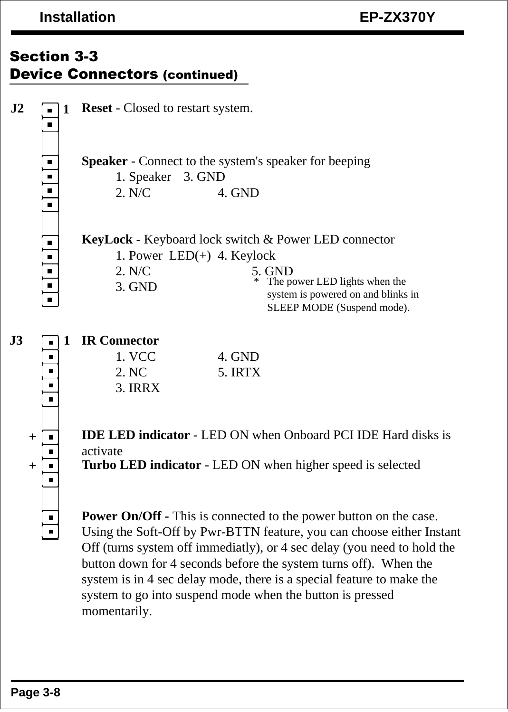#### Section 3-3 Device Connectors (continued)

| J2 | $\mathbf{1}$<br>$\blacksquare$                                       | <b>Reset</b> - Closed to restart system.                                                                                                                                                                                        |
|----|----------------------------------------------------------------------|---------------------------------------------------------------------------------------------------------------------------------------------------------------------------------------------------------------------------------|
|    | п<br>п<br>п<br>п                                                     | <b>Speaker</b> - Connect to the system's speaker for beeping<br>1. Speaker 3. GND<br>2. N/C<br>4. GND                                                                                                                           |
|    | $\blacksquare$<br>$\blacksquare$<br>$\blacksquare$<br>$\blacksquare$ | <b>KeyLock</b> - Keyboard lock switch & Power LED connector<br>1. Power LED $(+)$ 4. Keylock<br>2. N/C<br>5. GND<br>The power LED lights when the<br>3. GND<br>system is powered on and blinks in<br>SLEEP MODE (Suspend mode). |
| J3 | 1<br>П<br>■<br>$\blacksquare$                                        | <b>IR Connector</b><br>1. VCC<br>4. GND<br>2. NC<br>5. IRTX<br>3. IRRX                                                                                                                                                          |
|    | $+$<br>$+$<br>П                                                      | <b>IDE LED indicator</b> - LED ON when Onboard PCI IDE Hard disks is<br>activate<br>Turbo LED indicator - LED ON when higher speed is selected                                                                                  |
|    | $\blacksquare$                                                       | Power On/Off - This is connected to the power button on the case.<br>Using the Soft-Off by Pwr-BTTN feature, you can choose either Insta                                                                                        |

Using the Soft-Off by Pwr-BTTN feature, you can choose either Instant Off (turns system off immediatly), or 4 sec delay (you need to hold the button down for 4 seconds before the system turns off). When the system is in 4 sec delay mode, there is a special feature to make the system to go into suspend mode when the button is pressed momentarily.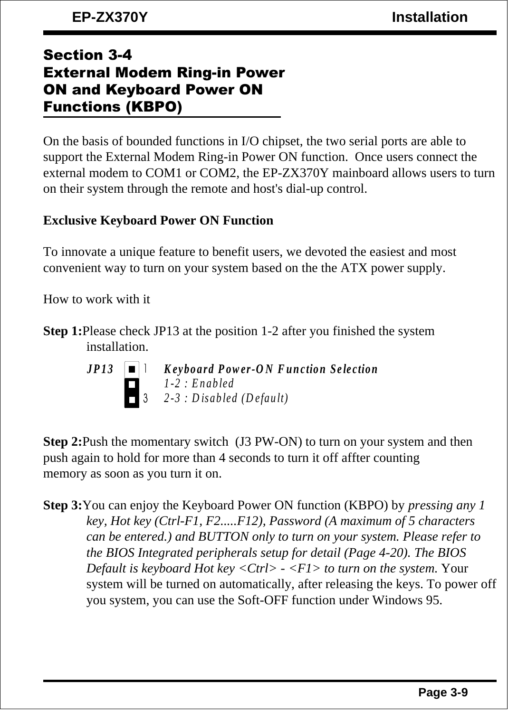#### Section 3-4 External Modem Ring-in Power ON and Keyboard Power ON Functions (KBPO)

On the basis of bounded functions in I/O chipset, the two serial ports are able to support the External Modem Ring-in Power ON function. Once users connect the external modem to COM1 or COM2, the EP-ZX370Y mainboard allows users to turn on their system through the remote and host's dial-up control.

#### **Exclusive Keyboard Power ON Function**

To innovate a unique feature to benefit users, we devoted the easiest and most convenient way to turn on your system based on the the ATX power supply.

How to work with it

**Step 1:**Please check JP13 at the position 1-2 after you finished the system installation.



*JP13*  $\boxed{\blacksquare}$  *Keyboard Power-ON Function Selection 1-2 : Enabled 2-3 : D isabled (D efault)*

**Step 2:**Push the momentary switch (J3 PW-ON) to turn on your system and then push again to hold for more than 4 seconds to turn it off affter counting memory as soon as you turn it on.

**Step 3:**You can enjoy the Keyboard Power ON function (KBPO) by *pressing any 1 key, Hot key (Ctrl-F1, F2.....F12), Password (A maximum of 5 characters can be entered.) and BUTTON only to turn on your system. Please refer to the BIOS Integrated peripherals setup for detail (Page 4-20). The BIOS Default is keyboard Hot key <Ctrl> - <F1> to turn on the system*. Your system will be turned on automatically, after releasing the keys. To power off you system, you can use the Soft-OFF function under Windows 95.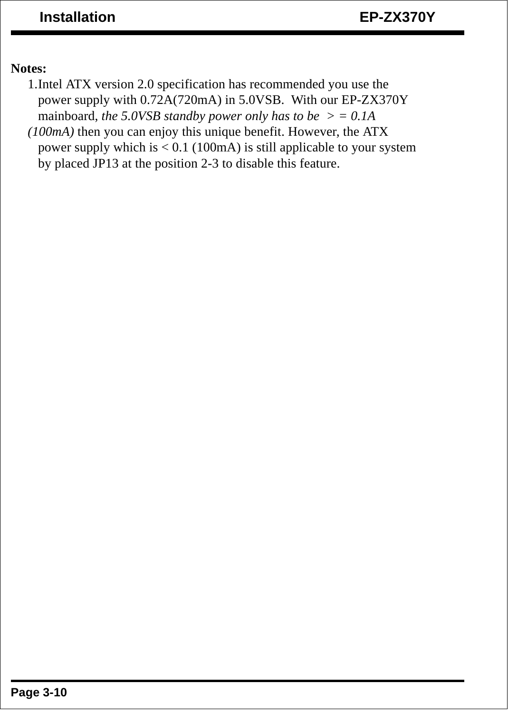#### **Notes:**

- 1.Intel ATX version 2.0 specification has recommended you use the power supply with 0.72A(720mA) in 5.0VSB. With our EP-ZX370Y mainboard, the 5.0VSB standby power only has to be  $> = 0.1A$
- *(100mA)* then you can enjoy this unique benefit. However, the ATX power supply which is  $< 0.1$  (100mA) is still applicable to your system by placed JP13 at the position 2-3 to disable this feature.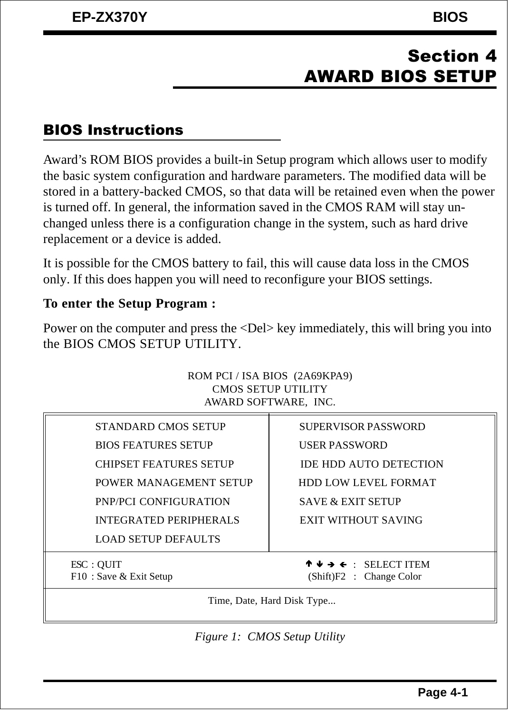### Section 4 AWARD BIOS SETUP

### BIOS Instructions

Award's ROM BIOS provides a built-in Setup program which allows user to modify the basic system configuration and hardware parameters. The modified data will be stored in a battery-backed CMOS, so that data will be retained even when the power is turned off. In general, the information saved in the CMOS RAM will stay unchanged unless there is a configuration change in the system, such as hard drive replacement or a device is added.

It is possible for the CMOS battery to fail, this will cause data loss in the CMOS only. If this does happen you will need to reconfigure your BIOS settings.

#### **To enter the Setup Program :**

Power on the computer and press the <Del> key immediately, this will bring you into the BIOS CMOS SETUP UTILITY.

 $POM PCI / IR A PIOS / 2A60V PAO$ 

| RUM PUT ISA BIUS (ZA09NPA9)<br><b>CMOS SETUP UTILITY</b><br>AWARD SOFTWARE, INC. |                                                         |  |  |
|----------------------------------------------------------------------------------|---------------------------------------------------------|--|--|
| STANDARD CMOS SETUP                                                              | <b>SUPERVISOR PASSWORD</b>                              |  |  |
| <b>BIOS FEATURES SETUP</b>                                                       | <b>USER PASSWORD</b>                                    |  |  |
| <b>CHIPSET FEATURES SETUP</b>                                                    | <b>IDE HDD AUTO DETECTION</b>                           |  |  |
| POWER MANAGEMENT SETUP                                                           | <b>HDD LOW LEVEL FORMAT</b>                             |  |  |
| PNP/PCI CONFIGURATION                                                            | <b>SAVE &amp; EXIT SETUP</b>                            |  |  |
| INTEGRATED PERIPHERALS                                                           | EXIT WITHOUT SAVING                                     |  |  |
| <b>LOAD SETUP DEFAULTS</b>                                                       |                                                         |  |  |
| ESC : QUIT                                                                       | $\uparrow \downarrow \uparrow \leftarrow$ : SELECT ITEM |  |  |
| F10 : Save & Exit Setup                                                          | $(Shift)F2$ : Change Color                              |  |  |
| Time, Date, Hard Disk Type                                                       |                                                         |  |  |

*Figure 1: CMOS Setup Utility*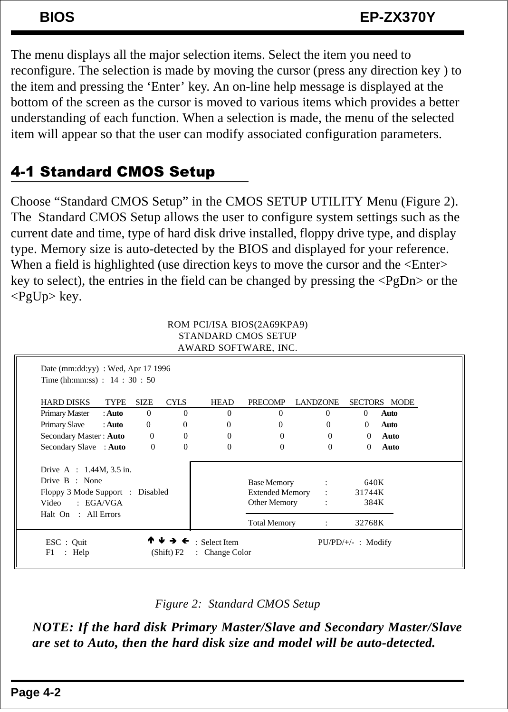The menu displays all the major selection items. Select the item you need to reconfigure. The selection is made by moving the cursor (press any direction key ) to the item and pressing the 'Enter' key. An on-line help message is displayed at the bottom of the screen as the cursor is moved to various items which provides a better understanding of each function. When a selection is made, the menu of the selected item will appear so that the user can modify associated configuration parameters.

### 4-1 Standard CMOS Setup

Choose "Standard CMOS Setup" in the CMOS SETUP UTILITY Menu (Figure 2). The Standard CMOS Setup allows the user to configure system settings such as the current date and time, type of hard disk drive installed, floppy drive type, and display type. Memory size is auto-detected by the BIOS and displayed for your reference. When a field is highlighted (use direction keys to move the cursor and the  $\leq$ Enter $>$ key to select), the entries in the field can be changed by pressing the <PgDn> or the  $<$ PgUp $>$  key.

> ROM PCI/ISA BIOS(2A69KPA9) STANDARD CMOS SETUP AWARD SOFTWARE, INC.

| HARD DISKS                                                                                                                  | <b>TYPE</b> | <b>SIZE</b> | <b>CYLS</b> | <b>HEAD</b> | <b>PRECOMP</b>                                                                      | LANDZONE                               |                                  | SECTORS MODE |
|-----------------------------------------------------------------------------------------------------------------------------|-------------|-------------|-------------|-------------|-------------------------------------------------------------------------------------|----------------------------------------|----------------------------------|--------------|
| Primary Master                                                                                                              | : Auto      | $\Omega$    | $\Omega$    | $\Omega$    | $\Omega$                                                                            | 0                                      | $\Omega$                         | Auto         |
| Primary Slave                                                                                                               | : Auto      | $\Omega$    | $\Omega$    | $\Omega$    | $\Omega$                                                                            | $\Omega$                               | $\Omega$                         | Auto         |
| Secondary Master: Auto                                                                                                      |             | $\Omega$    | $\Omega$    | $\Omega$    | $\Omega$                                                                            | $\Omega$                               | $\Omega$                         | Auto         |
| Secondary Slave : Auto                                                                                                      |             | $\Omega$    | $\Omega$    | $\theta$    | $\Omega$                                                                            | $\Omega$                               | $\Omega$                         | Auto         |
| Drive $A : 1.44M, 3.5$ in.<br>Drive B: None<br>Floppy 3 Mode Support : Disabled<br>EGA/VGA<br>Video<br>Halt On : All Errors |             |             |             |             | <b>Base Memory</b><br><b>Extended Memory</b><br>Other Memory<br><b>Total Memory</b> | $\ddot{\phantom{a}}$<br>$\ddot{\cdot}$ | 640K<br>31744K<br>384K<br>32768K |              |

*Figure 2: Standard CMOS Setup*

*NOTE: If the hard disk Primary Master/Slave and Secondary Master/Slave are set to Auto, then the hard disk size and model will be auto-detected.*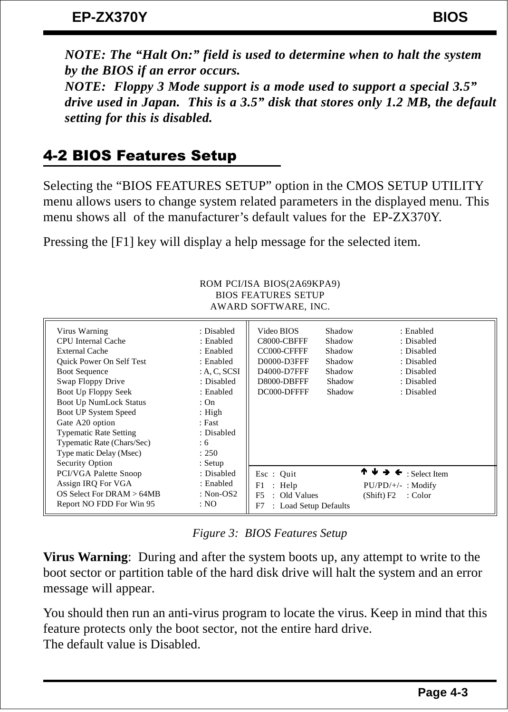*NOTE: The "Halt On:" field is used to determine when to halt the system by the BIOS if an error occurs.*

*NOTE: Floppy 3 Mode support is a mode used to support a special 3.5" drive used in Japan. This is a 3.5" disk that stores only 1.2 MB, the default setting for this is disabled.*

#### 4-2 BIOS Features Setup

Selecting the "BIOS FEATURES SETUP" option in the CMOS SETUP UTILITY menu allows users to change system related parameters in the displayed menu. This menu shows all of the manufacturer's default values for the EP-ZX370Y.

> ROM PCI/ISA BIOS(2A69KPA9) BIOS FEATURES SETUP

Pressing the [F1] key will display a help message for the selected item.

|                                                                                                                                                                                                                                                                                                                                    |                                                                                                                                                         | AWARD SOFTWARE, INC.                                                                                 |                                                                    |                                    |                                                                                               |
|------------------------------------------------------------------------------------------------------------------------------------------------------------------------------------------------------------------------------------------------------------------------------------------------------------------------------------|---------------------------------------------------------------------------------------------------------------------------------------------------------|------------------------------------------------------------------------------------------------------|--------------------------------------------------------------------|------------------------------------|-----------------------------------------------------------------------------------------------|
| Virus Warning<br>CPU Internal Cache<br>External Cache<br><b>Ouick Power On Self Test</b><br><b>Boot Sequence</b><br>Swap Floppy Drive<br>Boot Up Floppy Seek<br><b>Boot Up NumLock Status</b><br>Boot UP System Speed<br>Gate A20 option<br><b>Typematic Rate Setting</b><br>Typematic Rate (Chars/Sec)<br>Type matic Delay (Msec) | : Disabled<br>: Enabled<br>: Enabled<br>: Enabled<br>: A, C, SCSI<br>: Disabled<br>: Enabled<br>: On<br>$:$ High<br>: Fast<br>: Disabled<br>:6<br>: 250 | Video BIOS<br>C8000-CBFFF<br>CC000-CFFFF<br>D0000-D3FFF<br>D4000-D7FFF<br>D8000-DBFFF<br>DC000-DFFFF | Shadow<br>Shadow<br>Shadow<br>Shadow<br>Shadow<br>Shadow<br>Shadow |                                    | : Enabled<br>: Disabled<br>: Disabled<br>: Disabled<br>: Disabled<br>: Disabled<br>: Disabled |
| Security Option<br>PCI/VGA Palette Snoop<br>Assign IRO For VGA<br>OS Select For DRAM > 64MB<br>Report NO FDD For Win 95                                                                                                                                                                                                            | $:$ Setup<br>: Disabled<br>: Enabled<br>: Non- $OS2$<br>: NO                                                                                            | Esc : Quit<br>F1<br>: Help<br>: Old Values<br>F5<br>F7<br>: Load Setup Defaults                      |                                                                    | $PU/PD/+/-$ : Modify<br>(Shift) F2 | $\uparrow \uparrow \rightarrow \leftarrow$ : Select Item<br>: Color                           |

*Figure 3: BIOS Features Setup*

**Virus Warning**:During and after the system boots up, any attempt to write to the boot sector or partition table of the hard disk drive will halt the system and an error message will appear.

You should then run an anti-virus program to locate the virus. Keep in mind that this feature protects only the boot sector, not the entire hard drive. The default value is Disabled.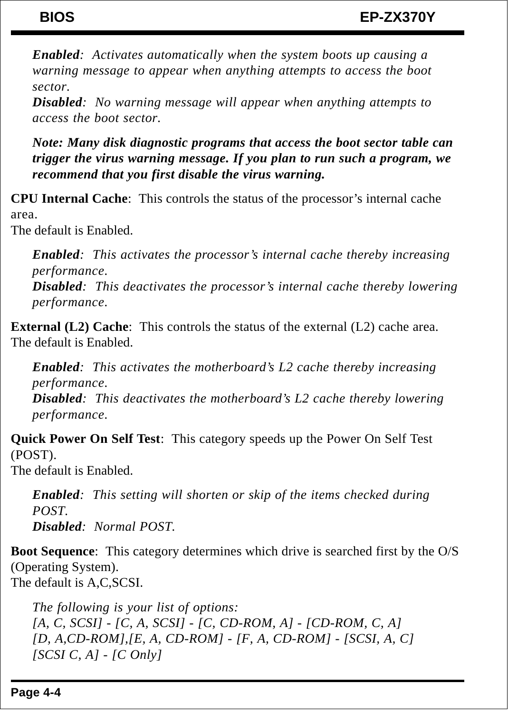*Enabled: Activates automatically when the system boots up causing a warning message to appear when anything attempts to access the boot sector.*

*Disabled: No warning message will appear when anything attempts to access the boot sector.*

*Note: Many disk diagnostic programs that access the boot sector table can trigger the virus warning message. If you plan to run such a program, we recommend that you first disable the virus warning.*

**CPU Internal Cache**: This controls the status of the processor's internal cache area.

The default is Enabled.

*Enabled: This activates the processor's internal cache thereby increasing performance. Disabled: This deactivates the processor's internal cache thereby lowering performance.*

**External (L2) Cache:** This controls the status of the external (L2) cache area. The default is Enabled.

*Enabled: This activates the motherboard's L2 cache thereby increasing performance. Disabled: This deactivates the motherboard's L2 cache thereby lowering performance.*

**Quick Power On Self Test**: This category speeds up the Power On Self Test (POST).

The default is Enabled.

*Enabled: This setting will shorten or skip of the items checked during POST. Disabled: Normal POST.*

**Boot Sequence**: This category determines which drive is searched first by the O/S (Operating System). The default is A,C,SCSI.

*The following is your list of options: [A, C, SCSI] - [C, A, SCSI] - [C, CD-ROM, A] - [CD-ROM, C, A] [D, A,CD-ROM],[E, A, CD-ROM] - [F, A, CD-ROM] - [SCSI, A, C] [SCSI C, A] - [C Only]*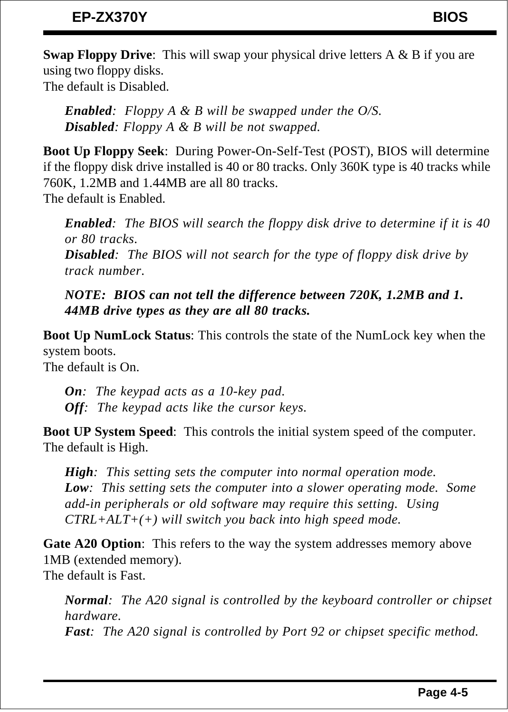**Swap Floppy Drive**: This will swap your physical drive letters A & B if you are using two floppy disks. The default is Disabled.

*Enabled: Floppy A & B will be swapped under the O/S. Disabled: Floppy A & B will be not swapped.*

**Boot Up Floppy Seek**: During Power-On-Self-Test (POST), BIOS will determine if the floppy disk drive installed is 40 or 80 tracks. Only 360K type is 40 tracks while 760K, 1.2MB and 1.44MB are all 80 tracks.

The default is Enabled.

*Enabled: The BIOS will search the floppy disk drive to determine if it is 40 or 80 tracks. Disabled: The BIOS will not search for the type of floppy disk drive by track number.*

*NOTE: BIOS can not tell the difference between 720K, 1.2MB and 1. 44MB drive types as they are all 80 tracks.*

**Boot Up NumLock Status**: This controls the state of the NumLock key when the system boots.

The default is On.

*On: The keypad acts as a 10-key pad. Off: The keypad acts like the cursor keys.*

**Boot UP System Speed**: This controls the initial system speed of the computer. The default is High.

*High: This setting sets the computer into normal operation mode. Low: This setting sets the computer into a slower operating mode. Some add-in peripherals or old software may require this setting. Using CTRL+ALT+(+) will switch you back into high speed mode.*

**Gate A20 Option**: This refers to the way the system addresses memory above 1MB (extended memory). The default is Fast.

*Normal: The A20 signal is controlled by the keyboard controller or chipset hardware. Fast: The A20 signal is controlled by Port 92 or chipset specific method.*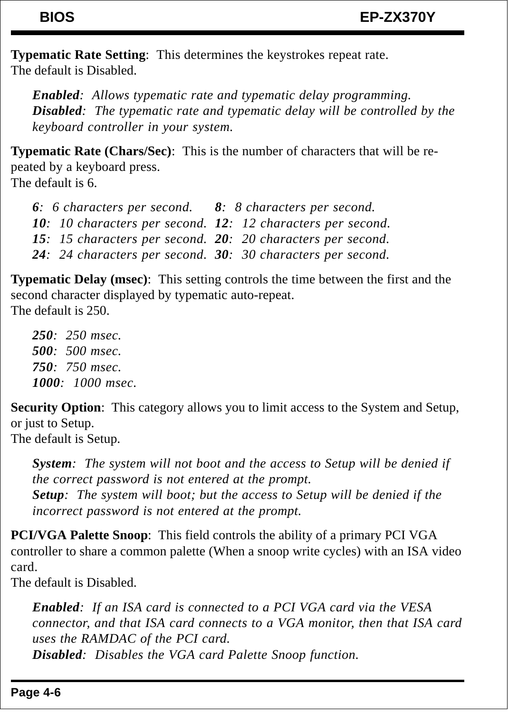**Typematic Rate Setting**: This determines the keystrokes repeat rate. The default is Disabled.

*Enabled: Allows typematic rate and typematic delay programming. Disabled: The typematic rate and typematic delay will be controlled by the keyboard controller in your system.*

**Typematic Rate (Chars/Sec)**: This is the number of characters that will be repeated by a keyboard press. The default is 6.

*: 6 characters per second. 8: 8 characters per second. : 10 characters per second. 12: 12 characters per second. : 15 characters per second. 20: 20 characters per second. : 24 characters per second. 30: 30 characters per second.*

**Typematic Delay (msec)**: This setting controls the time between the first and the second character displayed by typematic auto-repeat. The default is 250.

*: 250 msec. : 500 msec. : 750 msec. : 1000 msec.*

**Security Option**: This category allows you to limit access to the System and Setup, or just to Setup.

The default is Setup.

*System: The system will not boot and the access to Setup will be denied if the correct password is not entered at the prompt. Setup: The system will boot; but the access to Setup will be denied if the incorrect password is not entered at the prompt.*

**PCI/VGA Palette Snoop**: This field controls the ability of a primary PCI VGA controller to share a common palette (When a snoop write cycles) with an ISA video card.

The default is Disabled.

*Enabled: If an ISA card is connected to a PCI VGA card via the VESA connector, and that ISA card connects to a VGA monitor, then that ISA card uses the RAMDAC of the PCI card.*

*Disabled: Disables the VGA card Palette Snoop function.*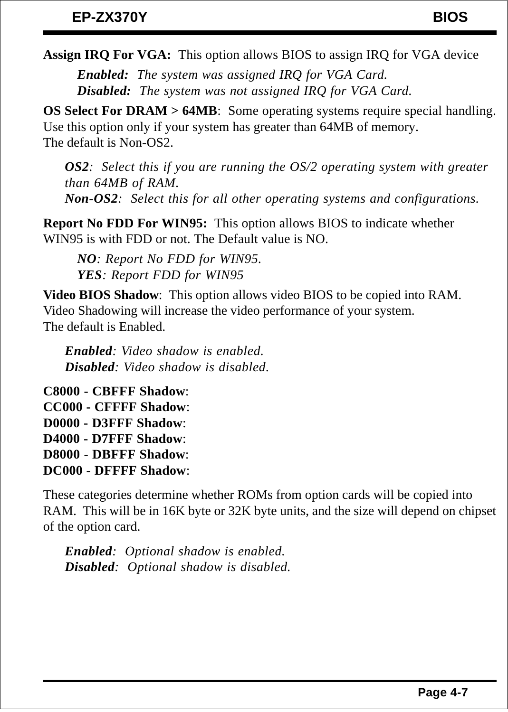**Assign IRQ For VGA:** This option allows BIOS to assign IRQ for VGA device

*Enabled: The system was assigned IRQ for VGA Card. Disabled: The system was not assigned IRQ for VGA Card.*

**OS Select For DRAM > 64MB**: Some operating systems require special handling. Use this option only if your system has greater than 64MB of memory. The default is Non-OS2.

*OS2: Select this if you are running the OS/2 operating system with greater than 64MB of RAM. Non-OS2: Select this for all other operating systems and configurations.*

**Report No FDD For WIN95:** This option allows BIOS to indicate whether WIN95 is with FDD or not. The Default value is NO.

*NO: Report No FDD for WIN95. YES: Report FDD for WIN95*

**Video BIOS Shadow**: This option allows video BIOS to be copied into RAM. Video Shadowing will increase the video performance of your system. The default is Enabled.

*Enabled: Video shadow is enabled. Disabled: Video shadow is disabled.*

**C8000 - CBFFF Shadow**: **CC000 - CFFFF Shadow**: **D0000 - D3FFF Shadow**: **D4000 - D7FFF Shadow**: **D8000 - DBFFF Shadow**: **DC000 - DFFFF Shadow**:

These categories determine whether ROMs from option cards will be copied into RAM. This will be in 16K byte or 32K byte units, and the size will depend on chipset of the option card.

*Enabled: Optional shadow is enabled. Disabled: Optional shadow is disabled.*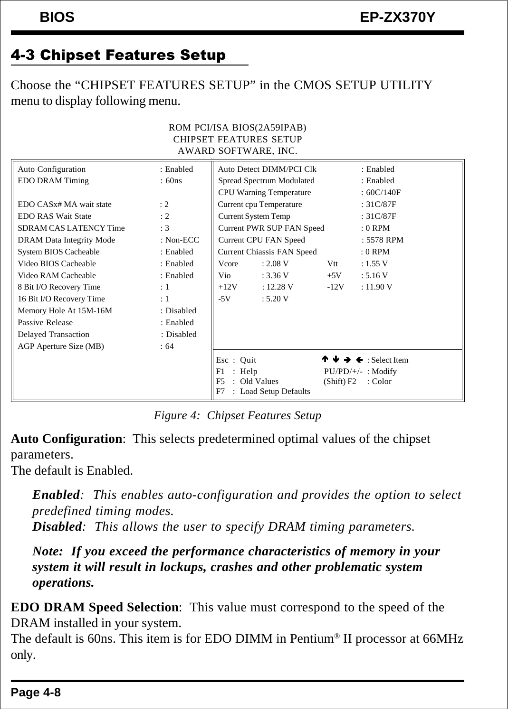### 4-3 Chipset Features Setup

Choose the "CHIPSET FEATURES SETUP" in the CMOS SETUP UTILITY menu to display following menu.

#### ROM PCI/ISA BIOS(2A59IPAB) CHIPSET FEATURES SETUP AWARD SOFTWARE, INC.

| Auto Configuration            | : Enabled   |                           | Auto Detect DIMM/PCI Clk          |            | : Enabled                 |
|-------------------------------|-------------|---------------------------|-----------------------------------|------------|---------------------------|
| <b>EDO DRAM Timing</b>        | : 60ns      | Spread Spectrum Modulated |                                   |            | : Enabled                 |
|                               |             |                           | <b>CPU Warning Temperature</b>    |            | :60C/140F                 |
| EDO CASx# MA wait state       | $\cdot$ 2   |                           | Current cpu Temperature           |            | :31C/87F                  |
| <b>EDO RAS Wait State</b>     | $\cdot$ 2   | Current System Temp       |                                   |            | : $31C/87F$               |
| <b>SDRAM CAS LATENCY Time</b> | :3          |                           | Current PWR SUP FAN Speed         |            | $: 0$ RPM                 |
| DRAM Data Integrity Mode      | : $Non-ECC$ |                           | <b>Current CPU FAN Speed</b>      |            | : 5578 RPM                |
| <b>System BIOS Cacheable</b>  | : Enabled   |                           | <b>Current Chiassis FAN Speed</b> |            | $: 0$ RPM                 |
| Video BIOS Cacheable          | : Enabled   | Vcore                     | : 2.08 V                          | Vtt        | : 1.55 V                  |
| Video RAM Cacheable           | : Enabled   | Vio                       | : 3.36 V                          | $+5V$      | : 5.16 V                  |
| 8 Bit I/O Recovery Time       | $\pm 1$     | $+12V$                    | $: 12.28 \text{ V}$               | $-12V$     | : 11.90 V                 |
| 16 Bit I/O Recovery Time      | :1          | $-5V$                     | : 5.20 V                          |            |                           |
| Memory Hole At 15M-16M        | : Disabled  |                           |                                   |            |                           |
| Passive Release               | : Enabled   |                           |                                   |            |                           |
| <b>Delayed Transaction</b>    | : Disabled  |                           |                                   |            |                           |
| AGP Aperture Size (MB)        | :64         |                           |                                   |            |                           |
|                               |             | Esc: Ouit                 |                                   |            | $\triangle$ : Select Item |
|                               |             | F1<br>: Help              |                                   |            | $PU/PD/+/ -$ : Modify     |
|                               |             | F <sub>5</sub>            | Old Values                        | (Shift) F2 | : Color                   |
|                               |             | F7                        | : Load Setup Defaults             |            |                           |

*Figure 4: Chipset Features Setup*

**Auto Configuration**: This selects predetermined optimal values of the chipset parameters.

The default is Enabled.

*Enabled: This enables auto-configuration and provides the option to select predefined timing modes.*

*Disabled: This allows the user to specify DRAM timing parameters.*

*Note: If you exceed the performance characteristics of memory in your system it will result in lockups, crashes and other problematic system operations.*

**EDO DRAM Speed Selection**: This value must correspond to the speed of the DRAM installed in your system.

The default is 60ns. This item is for EDO DIMM in Pentium® II processor at 66MHz only.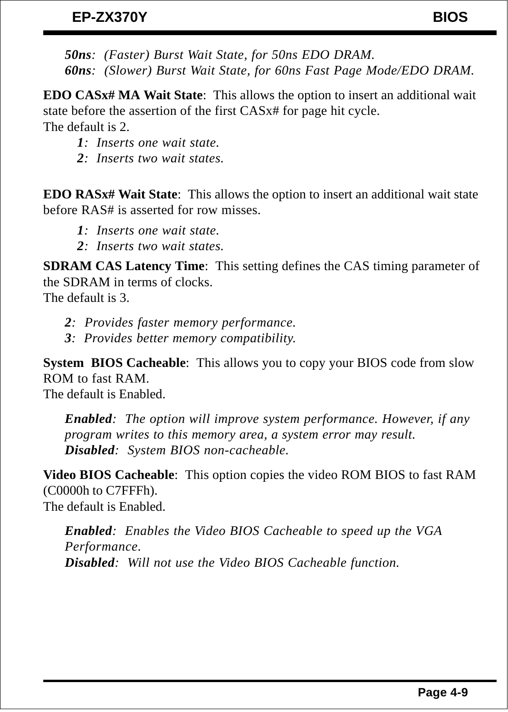**EDO CASx# MA Wait State**: This allows the option to insert an additional wait state before the assertion of the first CASx# for page hit cycle. The default is 2.

*1: Inserts one wait state.*

*2: Inserts two wait states.*

**EDO RASx# Wait State**: This allows the option to insert an additional wait state before RAS# is asserted for row misses.

- *1: Inserts one wait state.*
- *2: Inserts two wait states.*

**SDRAM CAS Latency Time**: This setting defines the CAS timing parameter of the SDRAM in terms of clocks.

The default is 3.

- *2: Provides faster memory performance.*
- *3: Provides better memory compatibility.*

**System BIOS Cacheable**: This allows you to copy your BIOS code from slow ROM to fast RAM.

The default is Enabled.

*Enabled: The option will improve system performance. However, if any program writes to this memory area, a system error may result. Disabled: System BIOS non-cacheable.*

**Video BIOS Cacheable**: This option copies the video ROM BIOS to fast RAM (C0000h to C7FFFh). The default is Enabled.

*Enabled: Enables the Video BIOS Cacheable to speed up the VGA Performance. Disabled: Will not use the Video BIOS Cacheable function.*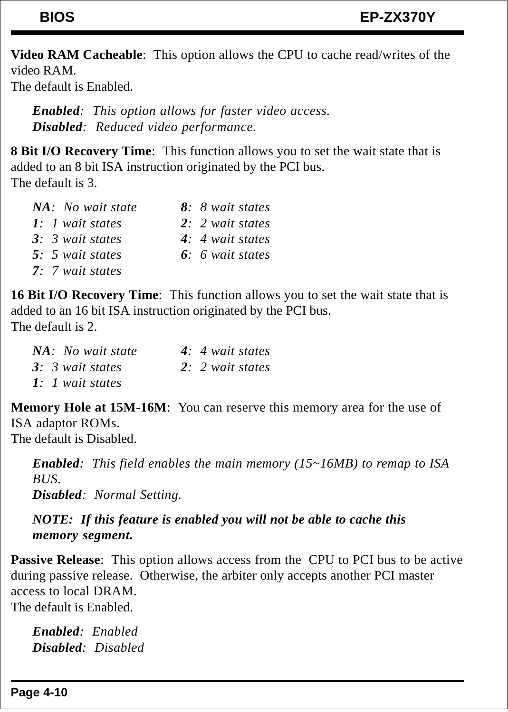**Video RAM Cacheable**: This option allows the CPU to cache read/writes of the video RAM.

The default is Enabled.

*Enabled: This option allows for faster video access. Disabled: Reduced video performance.*

**8 Bit I/O Recovery Time**: This function allows you to set the wait state that is added to an 8 bit ISA instruction originated by the PCI bus. The default is 3.

| NA: No wait state | 8: 8 wait states |
|-------------------|------------------|
| 1: I wait states  | 2: 2 wait states |
| 3: 3 wait states  | 4: 4 wait states |
| 5: 5 wait states  | 6: 6 wait states |
| 7: 7 wait states  |                  |

**16 Bit I/O Recovery Time**: This function allows you to set the wait state that is added to an 16 bit ISA instruction originated by the PCI bus. The default is 2.

| NA: No wait state |  | 4: 4 wait states |  |
|-------------------|--|------------------|--|
| 3: 3 wait states  |  | 2: 2 wait states |  |
| 1: I wait states  |  |                  |  |

**Memory Hole at 15M-16M**: You can reserve this memory area for the use of ISA adaptor ROMs.

The default is Disabled.

*Enabled: This field enables the main memory (15~16MB) to remap to ISA BUS. Disabled: Normal Setting.*

*NOTE: If this feature is enabled you will not be able to cache this memory segment.*

**Passive Release**: This option allows access from the CPU to PCI bus to be active during passive release. Otherwise, the arbiter only accepts another PCI master access to local DRAM. The default is Enabled.

*Enabled: Enabled Disabled: Disabled*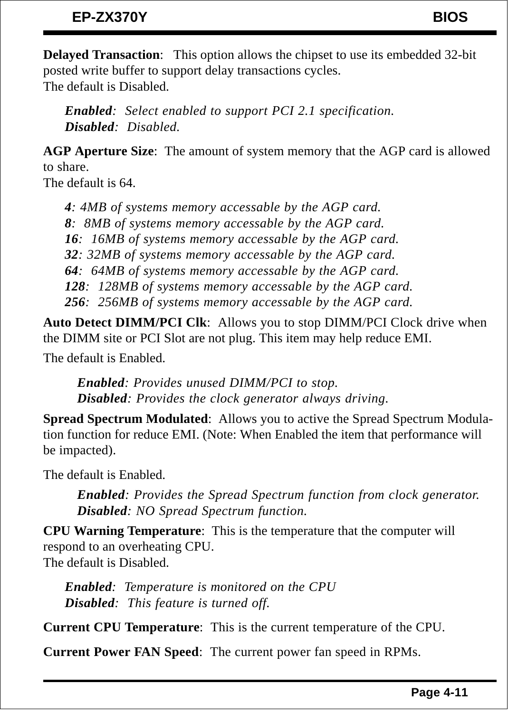**Delayed Transaction:** This option allows the chipset to use its embedded 32-bit posted write buffer to support delay transactions cycles. The default is Disabled.

*Enabled: Select enabled to support PCI 2.1 specification. Disabled: Disabled.*

**AGP Aperture Size**: The amount of system memory that the AGP card is allowed to share.

The default is 64.

*: 4MB of systems memory accessable by the AGP card. : 8MB of systems memory accessable by the AGP card. : 16MB of systems memory accessable by the AGP card. : 32MB of systems memory accessable by the AGP card. : 64MB of systems memory accessable by the AGP card. : 128MB of systems memory accessable by the AGP card. : 256MB of systems memory accessable by the AGP card.*

**Auto Detect DIMM/PCI Clk**: Allows you to stop DIMM/PCI Clock drive when the DIMM site or PCI Slot are not plug. This item may help reduce EMI. The default is Enabled.

*Enabled: Provides unused DIMM/PCI to stop. Disabled: Provides the clock generator always driving.*

**Spread Spectrum Modulated**: Allows you to active the Spread Spectrum Modulation function for reduce EMI. (Note: When Enabled the item that performance will be impacted).

The default is Enabled.

*Enabled: Provides the Spread Spectrum function from clock generator. Disabled: NO Spread Spectrum function.*

**CPU Warning Temperature**: This is the temperature that the computer will respond to an overheating CPU. The default is Disabled.

*Enabled: Temperature is monitored on the CPU Disabled: This feature is turned off.*

**Current CPU Temperature**: This is the current temperature of the CPU.

**Current Power FAN Speed**: The current power fan speed in RPMs.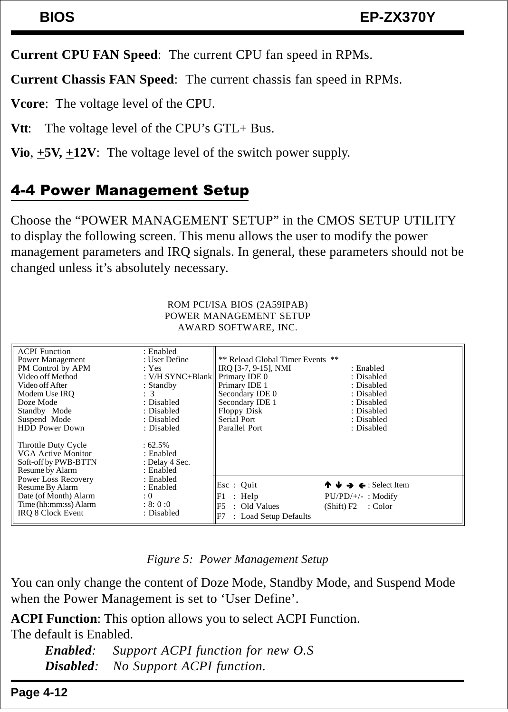**Current CPU FAN Speed**: The current CPU fan speed in RPMs.

**Current Chassis FAN Speed**: The current chassis fan speed in RPMs.

**Vcore**: The voltage level of the CPU.

**Vtt**: The voltage level of the CPU's GTL+ Bus.

**Vio**,  $\pm$ **5V,**  $\pm$ **12V**: The voltage level of the switch power supply.

### 4-4 Power Management Setup

Choose the "POWER MANAGEMENT SETUP" in the CMOS SETUP UTILITY to display the following screen. This menu allows the user to modify the power management parameters and IRQ signals. In general, these parameters should not be changed unless it's absolutely necessary.

#### ROM PCI/ISA BIOS (2A59IPAB) POWER MANAGEMENT SETUP AWARD SOFTWARE, INC.

| <b>ACPI Function</b><br>Power Management<br>PM Control by APM<br>Video off Method<br>Video off After<br>Modem Use IRO<br>Doze Mode<br>Standby Mode<br>Suspend Mode<br><b>HDD Power Down</b> | : Enabled<br>: User Define<br>: Yes<br>: $V/H$ SYNC+Blank<br>: Standby<br>: 3<br>: Disabled<br>: Disabled<br>: Disabled<br>: Disabled | ** Reload Global Timer Events **<br>IRO [3-7, 9-15], NMI<br>Primary IDE 0<br>Primary IDE 1<br>Secondary IDE 0<br>Secondary IDE 1<br>Floppy Disk<br>Serial Port<br>Parallel Port | : Enabled<br>: Disabled<br>: Disabled<br>: Disabled<br>: Disabled<br>: Disabled<br>: Disabled<br>: Disabled |
|---------------------------------------------------------------------------------------------------------------------------------------------------------------------------------------------|---------------------------------------------------------------------------------------------------------------------------------------|---------------------------------------------------------------------------------------------------------------------------------------------------------------------------------|-------------------------------------------------------------------------------------------------------------|
| Throttle Duty Cycle<br>VGA Active Monitor<br>Soft-off by PWB-BTTN<br>Resume by Alarm                                                                                                        | $:62.5\%$<br>: Enabled<br>: Delay 4 Sec.<br>: Enabled                                                                                 |                                                                                                                                                                                 |                                                                                                             |
| Power Loss Recovery<br>Resume By Alarm<br>Date (of Month) Alarm<br>Time (hh:mm:ss) Alarm<br><b>IRO 8 Clock Event</b>                                                                        | : Enabled<br>: Enabled<br>:0<br>: 8:0:0<br>: Disabled                                                                                 | Esc: Ouit<br>F1<br>: Help<br>F <sub>5</sub><br>: Old Values<br>F7<br>: Load Setup Defaults                                                                                      | $\uparrow \uparrow \rightarrow \leftarrow$ : Select Item<br>$PU/PD/+/-$ : Modify<br>(Shift) F2<br>: Color   |

#### *Figure 5: Power Management Setup*

You can only change the content of Doze Mode, Standby Mode, and Suspend Mode when the Power Management is set to 'User Define'.

**ACPI Function**: This option allows you to select ACPI Function.

The default is Enabled.

*Enabled: Support ACPI function for new O.S Disabled: No Support ACPI function.*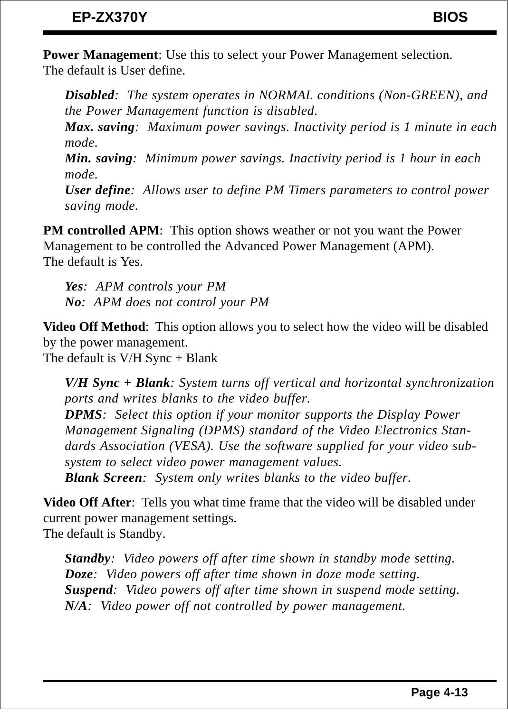**Power Management**: Use this to select your Power Management selection. The default is User define.

*Disabled: The system operates in NORMAL conditions (Non-GREEN), and the Power Management function is disabled. Max. saving: Maximum power savings. Inactivity period is 1 minute in each mode. Min. saving: Minimum power savings. Inactivity period is 1 hour in each mode. User define: Allows user to define PM Timers parameters to control power*

*saving mode.*

**PM controlled APM**: This option shows weather or not you want the Power Management to be controlled the Advanced Power Management (APM). The default is Yes.

*Yes: APM controls your PM No: APM does not control your PM*

**Video Off Method**: This option allows you to select how the video will be disabled by the power management. The default is  $V/H$  Sync + Blank

*V/H Sync + Blank: System turns off vertical and horizontal synchronization ports and writes blanks to the video buffer. DPMS: Select this option if your monitor supports the Display Power Management Signaling (DPMS) standard of the Video Electronics Standards Association (VESA). Use the software supplied for your video subsystem to select video power management values. Blank Screen: System only writes blanks to the video buffer.*

**Video Off After**: Tells you what time frame that the video will be disabled under current power management settings.

The default is Standby.

*Standby: Video powers off after time shown in standby mode setting. Doze: Video powers off after time shown in doze mode setting. Suspend: Video powers off after time shown in suspend mode setting. N/A: Video power off not controlled by power management.*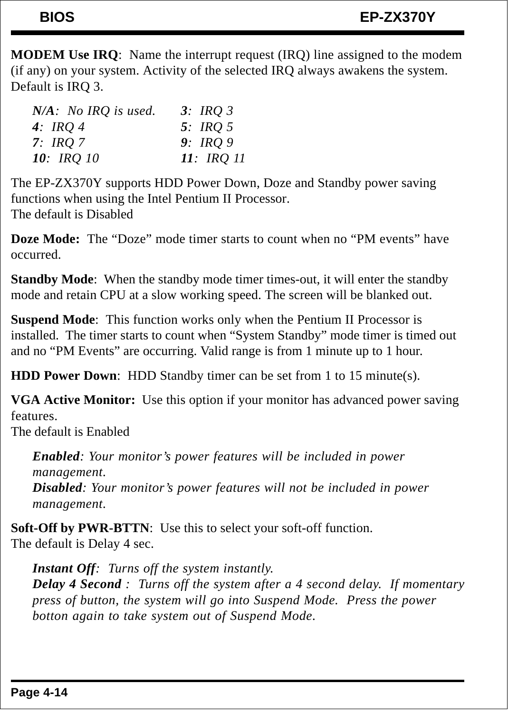**MODEM Use IRQ**: Name the interrupt request (IRQ) line assigned to the modem (if any) on your system. Activity of the selected IRQ always awakens the system. Default is IRQ 3.

| $N/A$ : No IRQ is used. | 3: IRO.3   |
|-------------------------|------------|
| 4: IRQ 4                | 5: $IRO$ 5 |
| 7: $IRO$ 7              | 9: IRO.9   |
| 10: $IRQ$ 10            | 11: IRQ11  |

The EP-ZX370Y supports HDD Power Down, Doze and Standby power saving functions when using the Intel Pentium II Processor. The default is Disabled

**Doze Mode:** The "Doze" mode timer starts to count when no "PM events" have occurred.

**Standby Mode**: When the standby mode timer times-out, it will enter the standby mode and retain CPU at a slow working speed. The screen will be blanked out.

**Suspend Mode**: This function works only when the Pentium II Processor is installed. The timer starts to count when "System Standby" mode timer is timed out and no "PM Events" are occurring. Valid range is from 1 minute up to 1 hour.

**HDD Power Down**: HDD Standby timer can be set from 1 to 15 minute(s).

**VGA Active Monitor:** Use this option if your monitor has advanced power saving features.

The default is Enabled

*Enabled: Your monitor's power features will be included in power management. Disabled: Your monitor's power features will not be included in power management.*

**Soft-Off by PWR-BTTN**: Use this to select your soft-off function. The default is Delay 4 sec.

*Instant Off: Turns off the system instantly. Delay 4 Second : Turns off the system after a 4 second delay. If momentary press of button, the system will go into Suspend Mode. Press the power botton again to take system out of Suspend Mode.*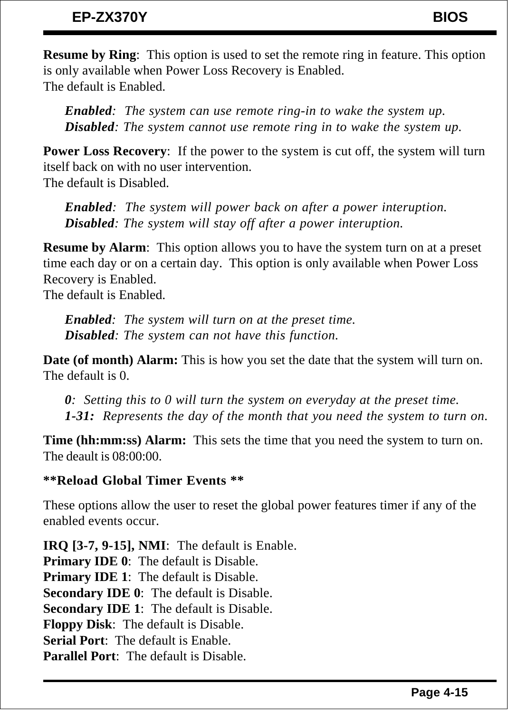**Resume by Ring:** This option is used to set the remote ring in feature. This option is only available when Power Loss Recovery is Enabled. The default is Enabled.

*Enabled: The system can use remote ring-in to wake the system up. Disabled: The system cannot use remote ring in to wake the system up.*

**Power Loss Recovery:** If the power to the system is cut off, the system will turn itself back on with no user intervention.

The default is Disabled.

*Enabled: The system will power back on after a power interuption. Disabled: The system will stay off after a power interuption.*

**Resume by Alarm:** This option allows you to have the system turn on at a preset time each day or on a certain day. This option is only available when Power Loss Recovery is Enabled.

The default is Enabled.

*Enabled: The system will turn on at the preset time. Disabled: The system can not have this function.*

**Date (of month) Alarm:** This is how you set the date that the system will turn on. The default is 0.

*0: Setting this to 0 will turn the system on everyday at the preset time. 1-31: Represents the day of the month that you need the system to turn on.*

**Time (hh:mm:ss) Alarm:** This sets the time that you need the system to turn on. The deault is 08:00:00.

#### **\*\*Reload Global Timer Events \*\***

These options allow the user to reset the global power features timer if any of the enabled events occur.

**IRQ [3-7, 9-15], NMI**: The default is Enable. **Primary IDE 0:** The default is Disable. **Primary IDE 1**: The default is Disable. **Secondary IDE 0**: The default is Disable. **Secondary IDE 1**: The default is Disable. **Floppy Disk**: The default is Disable. **Serial Port**: The default is Enable. **Parallel Port**: The default is Disable.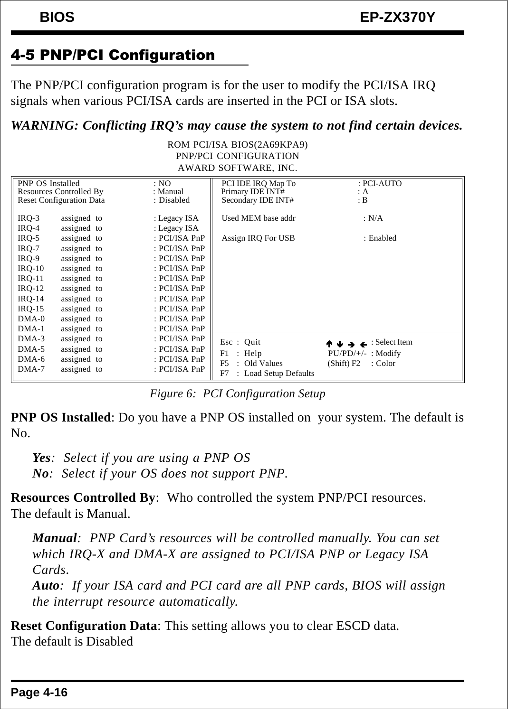### 4-5 PNP/PCI Configuration

The PNP/PCI configuration program is for the user to modify the PCI/ISA IRQ signals when various PCI/ISA cards are inserted in the PCI or ISA slots.

*WARNING: Conflicting IRQ's may cause the system to not find certain devices.* ROM PCI/ISA BIOS(2A69KPA9)

| PNP/PCI CONFIGURATION                                                                                |                                                                                                                                     |                                                                                                                                                       |                                                                                |                                                                                                             |
|------------------------------------------------------------------------------------------------------|-------------------------------------------------------------------------------------------------------------------------------------|-------------------------------------------------------------------------------------------------------------------------------------------------------|--------------------------------------------------------------------------------|-------------------------------------------------------------------------------------------------------------|
| AWARD SOFTWARE, INC.                                                                                 |                                                                                                                                     |                                                                                                                                                       |                                                                                |                                                                                                             |
| <b>PNP OS Installed</b>                                                                              | Resources Controlled By<br><b>Reset Configuration Data</b>                                                                          | :NO<br>: Manual<br>: Disabled                                                                                                                         | PCI IDE IRO Map To<br>Primary IDE INT#<br>Secondary IDE INT#                   | : PCI-AUTO<br>: A<br>: B                                                                                    |
| $IRQ-3$<br>$IRQ-4$                                                                                   | assigned to<br>assigned to                                                                                                          | : Legacy ISA<br>: Legacy ISA                                                                                                                          | Used MEM base addr                                                             | : N/A                                                                                                       |
| $IRQ-5$<br>$IRO-7$<br>$IRQ-9$<br>$IRQ-10$<br>$IRO-11$<br>$IRQ-12$<br>$IRQ-14$<br>$IRQ-15$<br>$DMA-0$ | assigned to<br>assigned to<br>assigned to<br>assigned to<br>assigned to<br>assigned to<br>assigned to<br>assigned to<br>assigned to | : PCI/ISA PnP<br>: PCI/ISA PnP<br>: PCI/ISA PnP<br>: PCI/ISA PnP<br>: PCI/ISA PnP<br>: PCI/ISA PnP<br>: PCI/ISA PnP<br>: PCI/ISA PnP<br>: PCI/ISA PnP | Assign IRO For USB                                                             | : Enabled                                                                                                   |
| $DMA-1$<br>$DMA-3$<br>$DMA-5$<br>$DMA-6$<br>$DMA-7$                                                  | assigned to<br>assigned to<br>assigned to<br>assigned to<br>assigned to                                                             | : PCI/ISA PnP<br>: $PCI/ISA$ $PnP$<br>: PCI/ISA PnP<br>: PCI/ISA PnP<br>: PCI/ISA PnP                                                                 | Esc: Ouit<br>: Help<br>F1<br>: Old Values<br>F5<br>F7<br>: Load Setup Defaults | $\uparrow \downarrow \rightarrow \leftarrow$ : Select Item<br>$PU/PD/+/-$ : Modify<br>(Shift) F2<br>: Color |

*Figure 6: PCI Configuration Setup*

**PNP OS Installed**: Do you have a PNP OS installed on your system. The default is No.

*Yes: Select if you are using a PNP OS*

*No: Select if your OS does not support PNP.*

**Resources Controlled By**: Who controlled the system PNP/PCI resources. The default is Manual.

*Manual: PNP Card's resources will be controlled manually. You can set which IRQ-X and DMA-X are assigned to PCI/ISA PNP or Legacy ISA Cards.*

*Auto: If your ISA card and PCI card are all PNP cards, BIOS will assign the interrupt resource automatically.*

**Reset Configuration Data**: This setting allows you to clear ESCD data. The default is Disabled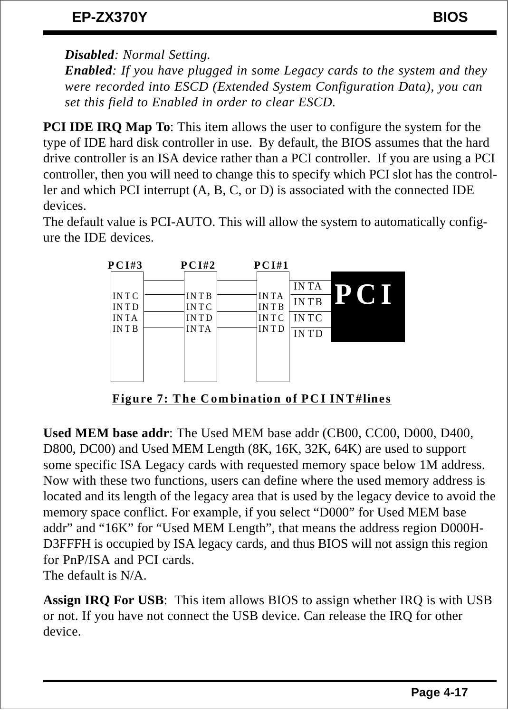*Disabled: Normal Setting.*

*Enabled: If you have plugged in some Legacy cards to the system and they were recorded into ESCD (Extended System Configuration Data), you can set this field to Enabled in order to clear ESCD.*

**PCI IDE IRQ Map To:** This item allows the user to configure the system for the type of IDE hard disk controller in use. By default, the BIOS assumes that the hard drive controller is an ISA device rather than a PCI controller. If you are using a PCI controller, then you will need to change this to specify which PCI slot has the controller and which PCI interrupt (A, B, C, or D) is associated with the connected IDE devices.

The default value is PCI-AUTO. This will allow the system to automatically configure the IDE devices.



**Figure 7: The Combination of PC I INT#lines**

**Used MEM base addr**: The Used MEM base addr (CB00, CC00, D000, D400, D800, DC00) and Used MEM Length (8K, 16K, 32K, 64K) are used to support some specific ISA Legacy cards with requested memory space below 1M address. Now with these two functions, users can define where the used memory address is located and its length of the legacy area that is used by the legacy device to avoid the memory space conflict. For example, if you select "D000" for Used MEM base addr" and "16K" for "Used MEM Length", that means the address region D000H-D3FFFH is occupied by ISA legacy cards, and thus BIOS will not assign this region for PnP/ISA and PCI cards. The default is N/A.

**Assign IRQ For USB**: This item allows BIOS to assign whether IRQ is with USB or not. If you have not connect the USB device. Can release the IRQ for other device.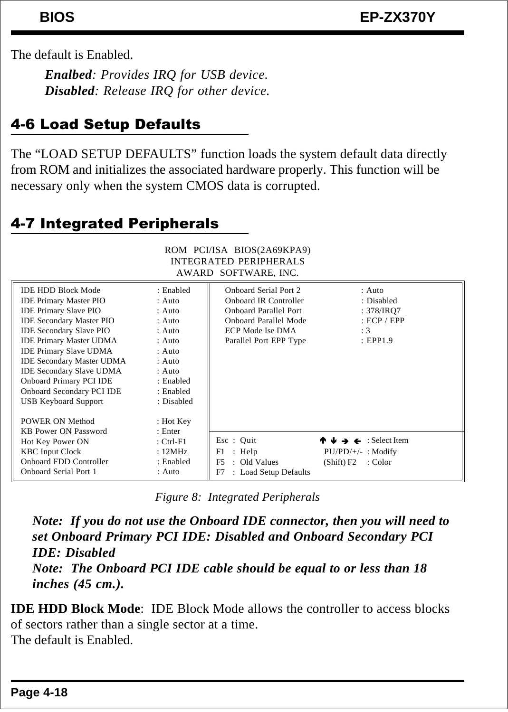The default is Enabled.

*Enalbed: Provides IRQ for USB device. Disabled: Release IRQ for other device.*

### 4-6 Load Setup Defaults

The "LOAD SETUP DEFAULTS" function loads the system default data directly from ROM and initializes the associated hardware properly. This function will be necessary only when the system CMOS data is corrupted.

### 4-7 Integrated Peripherals

| ROM PCI/ISA BIOS(2A69KPA9)<br><b>INTEGRATED PERIPHERALS</b><br>AWARD SOFTWARE, INC. |             |                              |                                                            |  |
|-------------------------------------------------------------------------------------|-------------|------------------------------|------------------------------------------------------------|--|
|                                                                                     |             |                              |                                                            |  |
| <b>IDE HDD Block Mode</b>                                                           | : Enabled   | <b>Onboard Serial Port 2</b> | : Auto                                                     |  |
| <b>IDE Primary Master PIO</b>                                                       | $:$ Auto    | <b>Onboard IR Controller</b> | : Disabled                                                 |  |
| <b>IDE Primary Slave PIO</b>                                                        | : Auto      | <b>Onboard Parallel Port</b> | : $378/IRO7$                                               |  |
| <b>IDE Secondary Master PIO</b>                                                     | : Auto      | <b>Onboard Parallel Mode</b> | ECP / EPP                                                  |  |
| <b>IDE Secondary Slave PIO</b>                                                      | $:$ Auto    | ECP Mode Ise DMA             | :3                                                         |  |
| <b>IDE Primary Master UDMA</b>                                                      | : Auto      | Parallel Port EPP Type       | EPP1.9                                                     |  |
| <b>IDE Primary Slave UDMA</b>                                                       | $:$ Auto    |                              |                                                            |  |
| <b>IDE Secondary Master UDMA</b>                                                    | : Auto      |                              |                                                            |  |
| <b>IDE Secondary Slave UDMA</b>                                                     | : Auto      |                              |                                                            |  |
| Onboard Primary PCI IDE                                                             | : Enabled   |                              |                                                            |  |
| Onboard Secondary PCI IDE                                                           | : Enabled   |                              |                                                            |  |
| <b>USB Keyboard Support</b>                                                         | : Disabled  |                              |                                                            |  |
|                                                                                     |             |                              |                                                            |  |
| POWER ON Method                                                                     | : Hot Key   |                              |                                                            |  |
| <b>KB Power ON Password</b>                                                         | $:$ Enter   |                              |                                                            |  |
| Hot Key Power ON                                                                    | : $Ctrl-F1$ | Esc : Quit                   | $\uparrow \downarrow \rightarrow \leftarrow$ : Select Item |  |
| <b>KBC</b> Input Clock                                                              | : 12MHz     | : Help<br>F1                 | $PU/PD/+/-$ : Modify                                       |  |
| <b>Onboard FDD Controller</b>                                                       | : Enabled   | : Old Values<br>F5           | (Shift) F2<br>: Color                                      |  |
| Onboard Serial Port 1                                                               | : Auto      | F7<br>: Load Setup Defaults  |                                                            |  |

*Figure 8: Integrated Peripherals*

*Note: If you do not use the Onboard IDE connector, then you will need to set Onboard Primary PCI IDE: Disabled and Onboard Secondary PCI IDE: Disabled Note: The Onboard PCI IDE cable should be equal to or less than 18 inches (45 cm.).*

**IDE HDD Block Mode**: IDE Block Mode allows the controller to access blocks of sectors rather than a single sector at a time. The default is Enabled.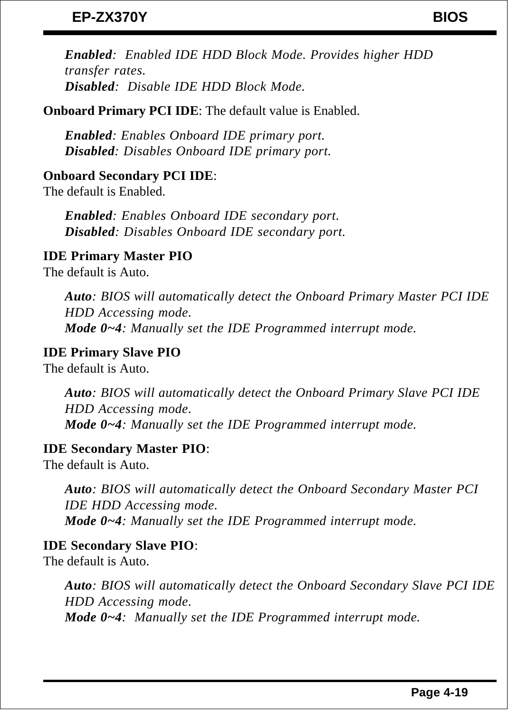*Enabled: Enabled IDE HDD Block Mode. Provides higher HDD transfer rates. Disabled: Disable IDE HDD Block Mode.*

**Onboard Primary PCI IDE**: The default value is Enabled.

*Enabled: Enables Onboard IDE primary port. Disabled: Disables Onboard IDE primary port.*

#### **Onboard Secondary PCI IDE**:

The default is Enabled.

*Enabled: Enables Onboard IDE secondary port. Disabled: Disables Onboard IDE secondary port.*

#### **IDE Primary Master PIO**

The default is Auto.

*Auto: BIOS will automatically detect the Onboard Primary Master PCI IDE HDD Accessing mode. Mode 0~4: Manually set the IDE Programmed interrupt mode.*

#### **IDE Primary Slave PIO**

The default is Auto.

*Auto: BIOS will automatically detect the Onboard Primary Slave PCI IDE HDD Accessing mode. Mode 0~4: Manually set the IDE Programmed interrupt mode.*

#### **IDE Secondary Master PIO**:

The default is Auto.

*Auto: BIOS will automatically detect the Onboard Secondary Master PCI IDE HDD Accessing mode. Mode 0~4: Manually set the IDE Programmed interrupt mode.*

#### **IDE Secondary Slave PIO**:

The default is Auto.

*Auto: BIOS will automatically detect the Onboard Secondary Slave PCI IDE HDD Accessing mode. Mode 0~4: Manually set the IDE Programmed interrupt mode.*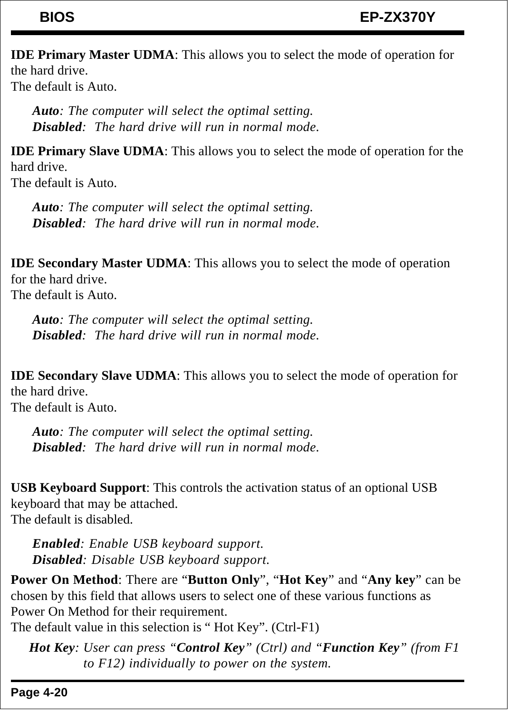**IDE Primary Master UDMA**: This allows you to select the mode of operation for the hard drive.

The default is Auto.

*Auto: The computer will select the optimal setting. Disabled: The hard drive will run in normal mode.*

**IDE Primary Slave UDMA**: This allows you to select the mode of operation for the hard drive. The default is Auto.

*Auto: The computer will select the optimal setting.*

*Disabled: The hard drive will run in normal mode.*

**IDE Secondary Master UDMA**: This allows you to select the mode of operation for the hard drive. The default is Auto.

*Auto: The computer will select the optimal setting. Disabled: The hard drive will run in normal mode.*

**IDE Secondary Slave UDMA**: This allows you to select the mode of operation for the hard drive.

The default is Auto.

*Auto: The computer will select the optimal setting. Disabled: The hard drive will run in normal mode.*

**USB Keyboard Support**: This controls the activation status of an optional USB keyboard that may be attached. The default is disabled.

*Enabled: Enable USB keyboard support. Disabled: Disable USB keyboard support.*

**Power On Method**: There are "**Button Only**", "**Hot Key**" and "**Any key**" can be chosen by this field that allows users to select one of these various functions as Power On Method for their requirement.

The default value in this selection is " Hot Key". (Ctrl-F1)

*Hot Key: User can press "Control Key" (Ctrl) and "Function Key" (from F1 to F12) individually to power on the system.*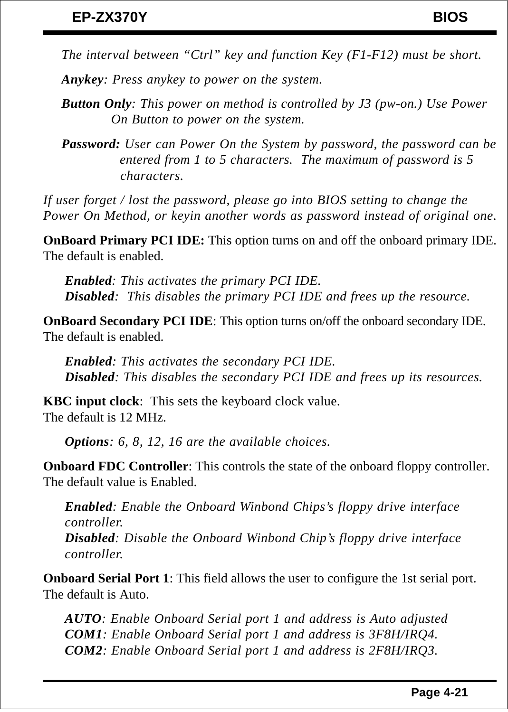*The interval between "Ctrl" key and function Key (F1-F12) must be short.*

*Anykey: Press anykey to power on the system.*

*Button Only: This power on method is controlled by J3 (pw-on.) Use Power On Button to power on the system.*

*Password: User can Power On the System by password, the password can be entered from 1 to 5 characters. The maximum of password is 5 characters.*

*If user forget / lost the password, please go into BIOS setting to change the Power On Method, or keyin another words as password instead of original one.*

**OnBoard Primary PCI IDE:** This option turns on and off the onboard primary IDE. The default is enabled.

*Enabled: This activates the primary PCI IDE. Disabled: This disables the primary PCI IDE and frees up the resource.*

**OnBoard Secondary PCI IDE**: This option turns on/off the onboard secondary IDE. The default is enabled.

*Enabled: This activates the secondary PCI IDE. Disabled: This disables the secondary PCI IDE and frees up its resources.*

**KBC input clock**: This sets the keyboard clock value. The default is 12 MHz.

*Options: 6, 8, 12, 16 are the available choices.*

**Onboard FDC Controller:** This controls the state of the onboard floppy controller. The default value is Enabled.

*Enabled: Enable the Onboard Winbond Chips's floppy drive interface controller. Disabled: Disable the Onboard Winbond Chip's floppy drive interface controller.*

**Onboard Serial Port 1**: This field allows the user to configure the 1st serial port. The default is Auto.

*AUTO: Enable Onboard Serial port 1 and address is Auto adjusted COM1: Enable Onboard Serial port 1 and address is 3F8H/IRQ4. COM2: Enable Onboard Serial port 1 and address is 2F8H/IRQ3.*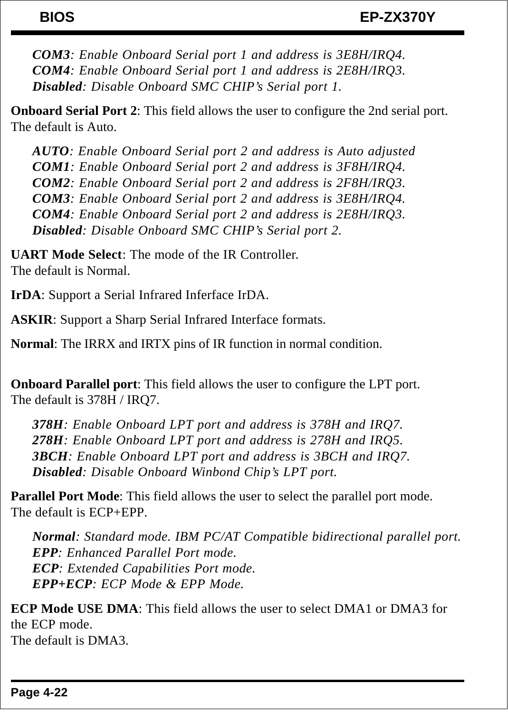*COM3: Enable Onboard Serial port 1 and address is 3E8H/IRQ4. COM4: Enable Onboard Serial port 1 and address is 2E8H/IRQ3. Disabled: Disable Onboard SMC CHIP's Serial port 1.*

**Onboard Serial Port 2**: This field allows the user to configure the 2nd serial port. The default is Auto.

*AUTO: Enable Onboard Serial port 2 and address is Auto adjusted COM1: Enable Onboard Serial port 2 and address is 3F8H/IRQ4. COM2: Enable Onboard Serial port 2 and address is 2F8H/IRQ3. COM3: Enable Onboard Serial port 2 and address is 3E8H/IRQ4. COM4: Enable Onboard Serial port 2 and address is 2E8H/IRQ3. Disabled: Disable Onboard SMC CHIP's Serial port 2.*

**UART Mode Select**: The mode of the IR Controller. The default is Normal.

**IrDA**: Support a Serial Infrared Inferface IrDA.

**ASKIR**: Support a Sharp Serial Infrared Interface formats.

**Normal**: The IRRX and IRTX pins of IR function in normal condition.

**Onboard Parallel port**: This field allows the user to configure the LPT port. The default is 378H / IRQ7.

*378H: Enable Onboard LPT port and address is 378H and IRQ7. 278H: Enable Onboard LPT port and address is 278H and IRQ5. 3BCH: Enable Onboard LPT port and address is 3BCH and IRQ7. Disabled: Disable Onboard Winbond Chip's LPT port.*

**Parallel Port Mode**: This field allows the user to select the parallel port mode. The default is ECP+EPP.

*Normal: Standard mode. IBM PC/AT Compatible bidirectional parallel port. EPP: Enhanced Parallel Port mode. ECP: Extended Capabilities Port mode. EPP+ECP: ECP Mode & EPP Mode.*

**ECP Mode USE DMA**: This field allows the user to select DMA1 or DMA3 for the ECP mode. The default is DMA3.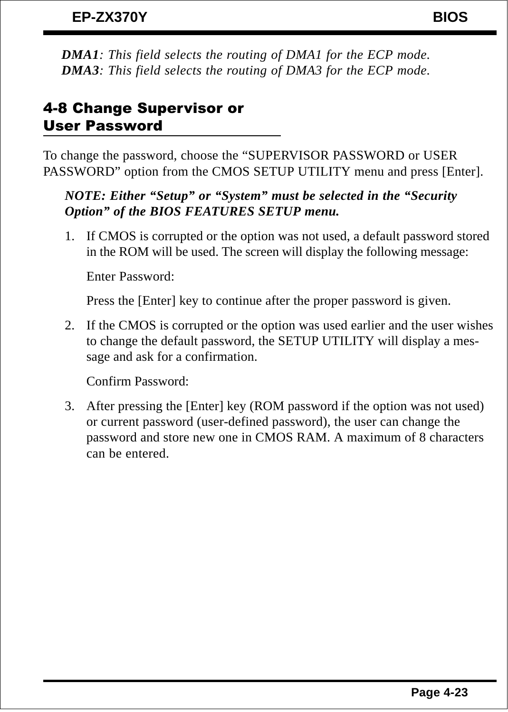*DMA1: This field selects the routing of DMA1 for the ECP mode. DMA3: This field selects the routing of DMA3 for the ECP mode.*

#### 4-8 Change Supervisor or User Password

To change the password, choose the "SUPERVISOR PASSWORD or USER PASSWORD" option from the CMOS SETUP UTILITY menu and press [Enter].

#### *NOTE: Either "Setup" or "System" must be selected in the "Security Option" of the BIOS FEATURES SETUP menu.*

1. If CMOS is corrupted or the option was not used, a default password stored in the ROM will be used. The screen will display the following message:

Enter Password:

Press the [Enter] key to continue after the proper password is given.

2. If the CMOS is corrupted or the option was used earlier and the user wishes to change the default password, the SETUP UTILITY will display a message and ask for a confirmation.

Confirm Password:

3. After pressing the [Enter] key (ROM password if the option was not used) or current password (user-defined password), the user can change the password and store new one in CMOS RAM. A maximum of 8 characters can be entered.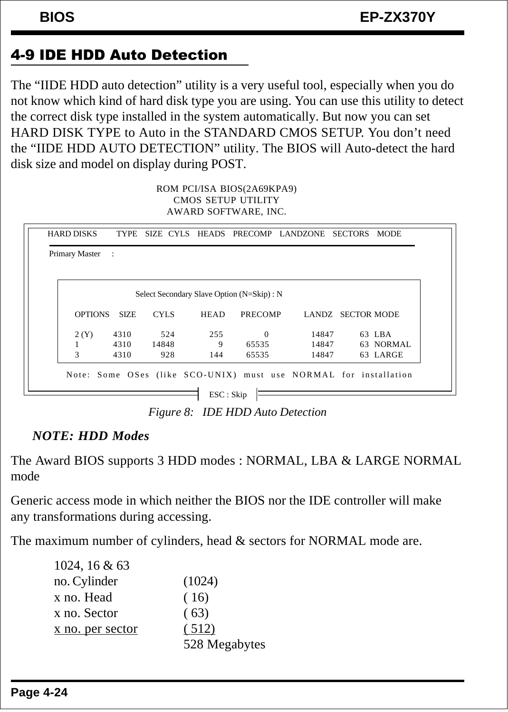#### 4-9 IDE HDD Auto Detection

The "IIDE HDD auto detection" utility is a very useful tool, especially when you do not know which kind of hard disk type you are using. You can use this utility to detect the correct disk type installed in the system automatically. But now you can set HARD DISK TYPE to Auto in the STANDARD CMOS SETUP. You don't need the "IIDE HDD AUTO DETECTION" utility. The BIOS will Auto-detect the hard disk size and model on display during POST.

> ROM PCI/ISA BIOS(2A69KPA9) CMOS SETUP UTILITY AWARD SOFTWARE, INC.

|                |             |             |             | Select Secondary Slave Option (N=Skip) : N |       |                          |
|----------------|-------------|-------------|-------------|--------------------------------------------|-------|--------------------------|
| <b>OPTIONS</b> | <b>SIZE</b> | <b>CYLS</b> | <b>HEAD</b> | PRECOMP                                    |       | <b>LANDZ SECTOR MODE</b> |
| 2(Y)           | 4310        | 524         | 255         | $\Omega$                                   | 14847 | 63 LBA                   |
| 1              | 4310        | 14848       | 9           | 65535                                      | 14847 | 63 NORMAL                |
| 3              | 4310        | 928         | 144         | 65535                                      | 14847 | 63 LARGE                 |

*Figure 8: IDE HDD Auto Detection*

#### *NOTE: HDD Modes*

The Award BIOS supports 3 HDD modes : NORMAL, LBA & LARGE NORMAL mode

Generic access mode in which neither the BIOS nor the IDE controller will make any transformations during accessing.

The maximum number of cylinders, head & sectors for NORMAL mode are.

| 1024, 16 $& 63$  |               |
|------------------|---------------|
| no. Cylinder     | (1024)        |
| x no. Head       | (16)          |
| x no. Sector     | (63)          |
| x no. per sector | (512)         |
|                  | 528 Megabytes |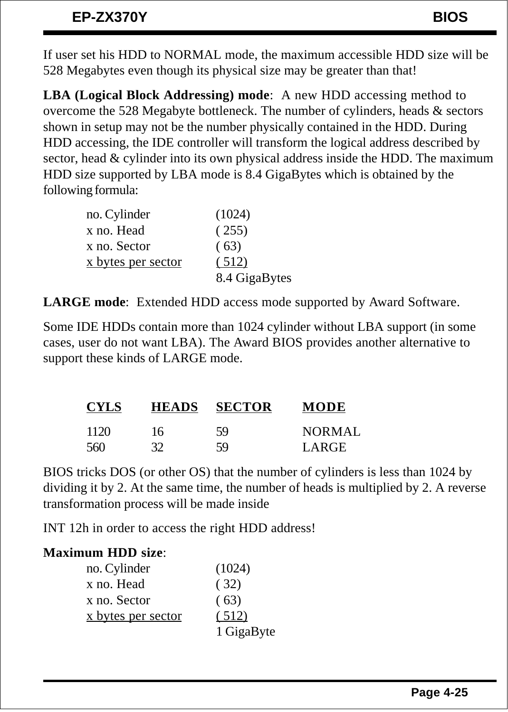If user set his HDD to NORMAL mode, the maximum accessible HDD size will be 528 Megabytes even though its physical size may be greater than that!

**LBA (Logical Block Addressing) mode**: A new HDD accessing method to overcome the 528 Megabyte bottleneck. The number of cylinders, heads & sectors shown in setup may not be the number physically contained in the HDD. During HDD accessing, the IDE controller will transform the logical address described by sector, head & cylinder into its own physical address inside the HDD. The maximum HDD size supported by LBA mode is 8.4 GigaBytes which is obtained by the following formula:

| no. Cylinder              | (1024)        |
|---------------------------|---------------|
| x no. Head                | (255)         |
| x no. Sector              | (63)          |
| <u>x bytes per sector</u> | (512)         |
|                           | 8.4 GigaBytes |

**LARGE mode**: Extended HDD access mode supported by Award Software.

Some IDE HDDs contain more than 1024 cylinder without LBA support (in some cases, user do not want LBA). The Award BIOS provides another alternative to support these kinds of LARGE mode.

| <b>CYLS</b> | <b>HEADS</b> | <b>SECTOR</b> | <b>MODE</b> |
|-------------|--------------|---------------|-------------|
| 1120        | 16           | 59            | NORMAL      |
| 560         | 32           | 59            | LARGE       |

BIOS tricks DOS (or other OS) that the number of cylinders is less than 1024 by dividing it by 2. At the same time, the number of heads is multiplied by 2. A reverse transformation process will be made inside

INT 12h in order to access the right HDD address!

#### **Maximum HDD size**:

| (1024)     |
|------------|
| (32)       |
| (63)       |
| (512)      |
| 1 GigaByte |
|            |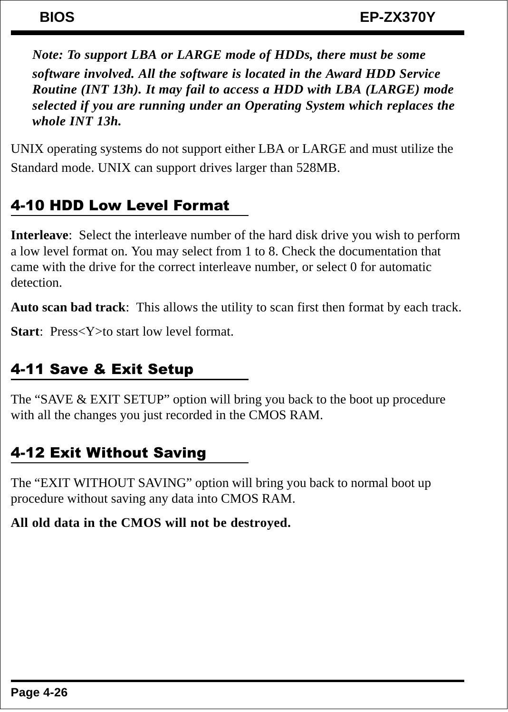*Note: To support LBA or LARGE mode of HDDs, there must be some software involved. All the software is located in the Award HDD Service Routine (INT 13h). It may fail to access a HDD with LBA (LARGE) mode selected if you are running under an Operating System which replaces the whole INT 13h.*

UNIX operating systems do not support either LBA or LARGE and must utilize the Standard mode. UNIX can support drives larger than 528MB.

### 4-10 HDD Low Level Format

**Interleave**: Select the interleave number of the hard disk drive you wish to perform a low level format on. You may select from 1 to 8. Check the documentation that came with the drive for the correct interleave number, or select 0 for automatic detection.

**Auto scan bad track**: This allows the utility to scan first then format by each track.

**Start:** Press<Y>to start low level format.

### 4-11 Save & Exit Setup

The "SAVE  $&$  EXIT SETUP" option will bring you back to the boot up procedure with all the changes you just recorded in the CMOS RAM.

### 4-12 Exit Without Saving

The "EXIT WITHOUT SAVING" option will bring you back to normal boot up procedure without saving any data into CMOS RAM.

#### **All old data in the CMOS will not be destroyed.**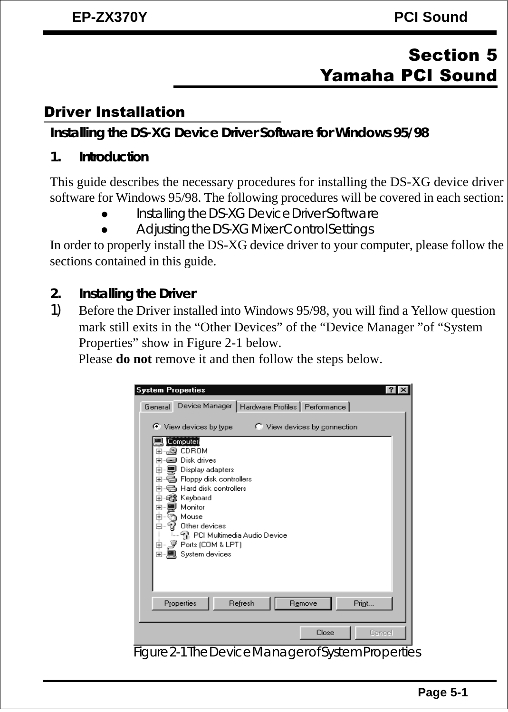### Section 5 Yamaha PCI Sound

#### Driver Installation

**Installing the DS-XG Device Driver Software for Windows 95/98**

#### *1. Introduction*

This guide describes the necessary procedures for installing the DS-XG device driver software for Windows 95/98. The following procedures will be covered in each section:

- Installing the DS-XG Device Driver Software
- Adjusting the DS-XG Mixer Control Settings

In order to properly install the DS-XG device driver to your computer, please follow the sections contained in this guide.

#### *2. Installing the Driver*

1) Before the Driver installed into Windows 95/98, you will find a Yellow question mark still exits in the "Other Devices" of the "Device Manager "of "System Properties" show in Figure 2-1 below.

Please **do not** remove it and then follow the steps below.



Figure 2-1 The Device Manager of System Properties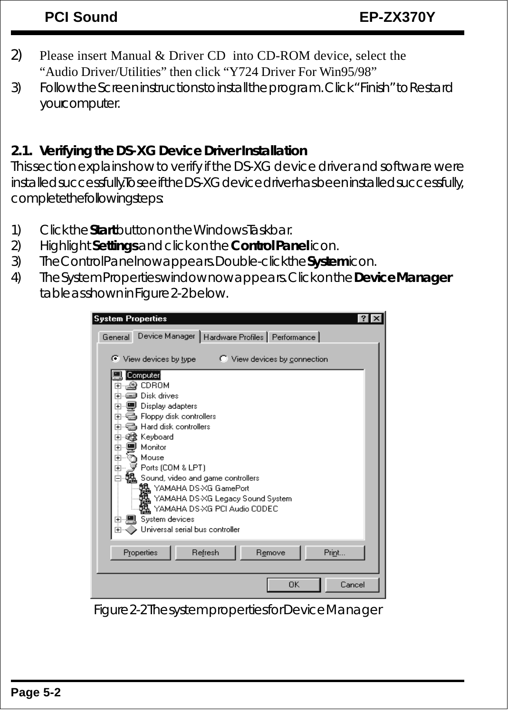#### **PCI Sound EP-ZX370Y**

- 2) Please insert Manual & Driver CD into CD-ROM device, select the "Audio Driver/Utilities" then click "Y724 Driver For Win95/98"
- 3) Follow the Screen instructions to install the program. Click "Finish" to Restard yourcomputer.

#### *2.1. Verifying the DS-XG Device Driver Installation*

This section explains how to verify if the DS-XG device driver and software were installed successfully. To see if the DS-XG device driver has been installed successfully, complete the following steps:

- 1) Click the **Start** button on the Windows Taskbar.
- 2) Highlight **Settings** and click on the **Control Panel** icon.
- 3) The Control Panel now appears. Double-click the **System** icon.
- 4) The System Properties window now appears. Click on the **Device Manager** table as shown in Figure 2-2 below.

| <b>System Properties</b>                                         |  |  |  |  |  |
|------------------------------------------------------------------|--|--|--|--|--|
| Device Manager   Hardware Profiles   Performance  <br>General    |  |  |  |  |  |
|                                                                  |  |  |  |  |  |
| $\bullet$ View devices by type<br>C View devices by connection   |  |  |  |  |  |
| [Computer]<br><u>©</u> CDROM<br>$\overline{+}$                   |  |  |  |  |  |
| Disk drives<br>$\overline{+}$                                    |  |  |  |  |  |
| Display adapters<br>$\overline{+}$                               |  |  |  |  |  |
| Floppy disk controllers<br>$\overline{+}$                        |  |  |  |  |  |
| Hard disk controllers<br>$\ddot{}$<br>Keyboard<br>ஈ              |  |  |  |  |  |
| Monitor<br>ஈ                                                     |  |  |  |  |  |
| Mouse<br>Ė                                                       |  |  |  |  |  |
| Ports (COM & LPT)<br>Ė<br>Sound, video and game controllers<br>Ξ |  |  |  |  |  |
| YAMAHA DS-XG GamePort                                            |  |  |  |  |  |
| YAMAHA DS-XG Legacy Sound System                                 |  |  |  |  |  |
| YAMAHA DS-XG PCI Audio CODEC<br>System devices<br>田              |  |  |  |  |  |
| Universal serial bus controller<br>$\overline{+}$                |  |  |  |  |  |
|                                                                  |  |  |  |  |  |
| Refresh<br>Properties<br>Remove<br>Print                         |  |  |  |  |  |
|                                                                  |  |  |  |  |  |
| OK<br>Cancel                                                     |  |  |  |  |  |

Figure 2-2 The system properties for Device Manager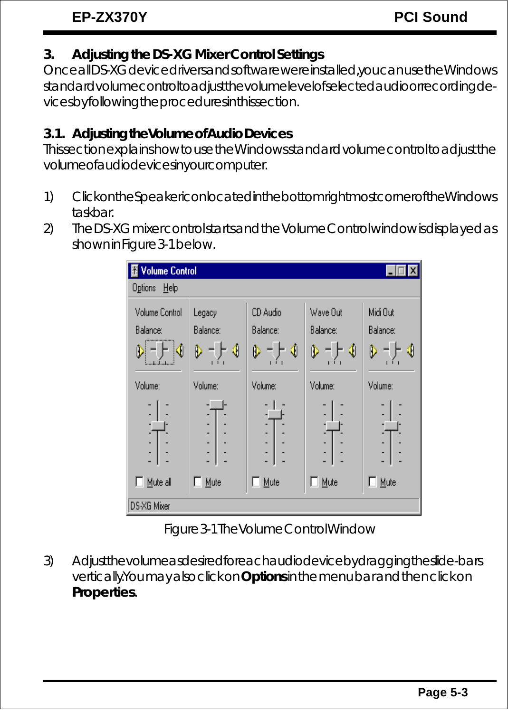#### *3. Adjusting the DS-XG Mixer Control Settings*

Once all DS-XG device drivers and software were installed, you can use the Windows standard volume control to adjust the volume level of selected audio or recording devices by following the procedures in this section.

#### *3.1. Adjusting the Volume of Audio Devices*

This section explains how to use the Windows standard volume control to adjust the volume of audio devices in your computer.

- 1) Click on the Speaker iconlocated in the bottom rightmost corner of the Windows taskbar.
- 2) The DS-XG mixer control starts and the *Volume Control* window is displayed as shown in Figure 3-1 below.



Figure 3-1 The Volume Control Window

3) Adjust the volume as desired for each audiodevice by dragging the slide-bars vertically. You may also click on**Options** in the menu bar and then click on **Properties**.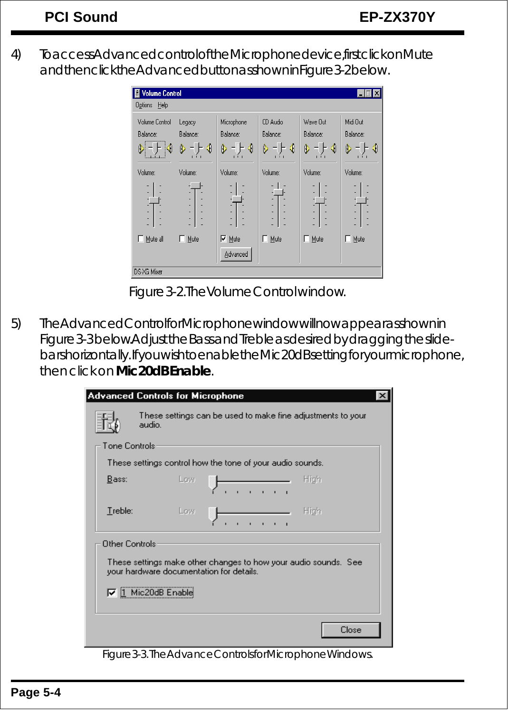4) To access Advanced control of the Microphone device, first click on Mute and then click the Advanced button as shown in Figure 3-2 below.



Figure 3-2. The Volume Control window.

5) The Advanced Control for Microphone window will now appear as shown in Figure 3-3 below. Adjust the Bass and Treble as desired by dragging the slidebars horizontally. If you wish to enable the Mic20dB setting for your microphone, then click on **Mic20dB Enable**.

|                                                                                                                                                     | <b>Advanced Controls for Microphone</b>                               |  |  |  |
|-----------------------------------------------------------------------------------------------------------------------------------------------------|-----------------------------------------------------------------------|--|--|--|
|                                                                                                                                                     | These settings can be used to make fine adjustments to your<br>audio. |  |  |  |
| Tone Controls                                                                                                                                       |                                                                       |  |  |  |
|                                                                                                                                                     | These settings control how the tone of your audio sounds.             |  |  |  |
| Bass:                                                                                                                                               | High<br>Low                                                           |  |  |  |
| Treble:                                                                                                                                             | Low<br>High                                                           |  |  |  |
| Other Controls<br>These settings make other changes to how your audio sounds. See<br>your hardware documentation for details.<br>7 1 Mic20dB Enable |                                                                       |  |  |  |
|                                                                                                                                                     | Close                                                                 |  |  |  |

Figure 3-3. The Advance Controls for Microphone Windows.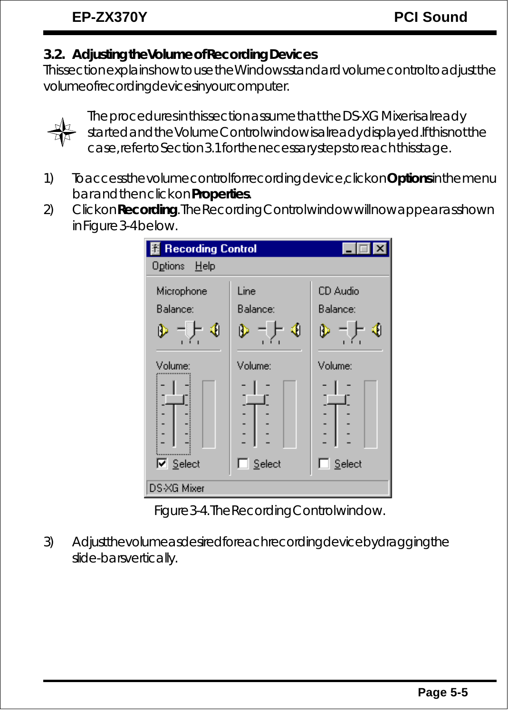#### *3.2. Adjusting the Volume of Recording Devices*

This section explains how to use the Windows standard volume control to adjust the volume of recording devices in your computer.



The procedures in this section assume that the DS-XG Mixer is already started and the *Volume Control* window is already displayed. If this not the case, refer to Section 3.1 for the necessary steps to reach this stage.

- 1) To access the volume control for recording device, click on **Options** in the menu bar and then click on **Properties**.
- 2) Click on **Recording**. The Recording Control window will now appear as shown in Figure 3-4 below.

| <b>Recording Control</b><br>Options Help                        |                                            |                                                                             |  |  |
|-----------------------------------------------------------------|--------------------------------------------|-----------------------------------------------------------------------------|--|--|
| Microphone<br>Balance:<br>∢<br>三片<br>Volume:<br>$\nabla$ Select | Line<br>Balance:<br>∢<br>Volume:<br>Select | CD Audio<br>Balance:<br>$\mathcal{L}$<br>€<br>Volume:<br>$\sqsupset$ Select |  |  |
| DS-XG Mixer                                                     |                                            |                                                                             |  |  |

Figure 3-4. The Recording Control window.

3) Adjust the volume as desired for each recording device by dragging the slide-barsvertically.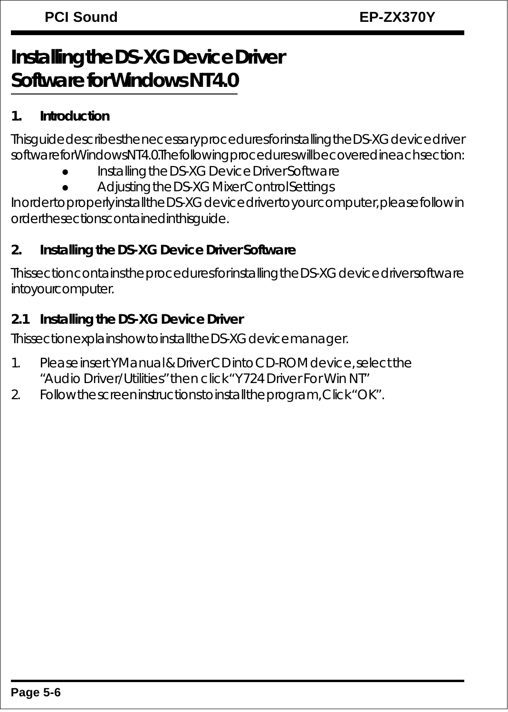### *Installing the DS-XG Device Driver Software for Windows NT 4.0*

#### *1. Introduction*

This guide describes the necessary procedures for installing the DS-XG device driver software for Windows NT 4.0. The following procedures will be covered in each section:

- Installing the DS-XG Device Driver Software
- Adjusting the DS-XG Mixer Control Settings

In order to properly install the DS-XG device driver to your computer, please follow in orderthesections contained in this guide.

#### *2. Installing the DS-XG Device Driver Software*

This section contains the procedures for installing the DS-XG device driver software intoyourcomputer.

#### *2.1 Installing the DS-XG Device Driver*

Thissection explains how to install the DS-XG device manager.

- 1. Please insert YManual & Driver CD into CD-ROM device, select the "Audio Driver/Utilities" then click "Y724 Driver For Win NT"
- 2. Follow the screen instructions to install the program, Click "OK".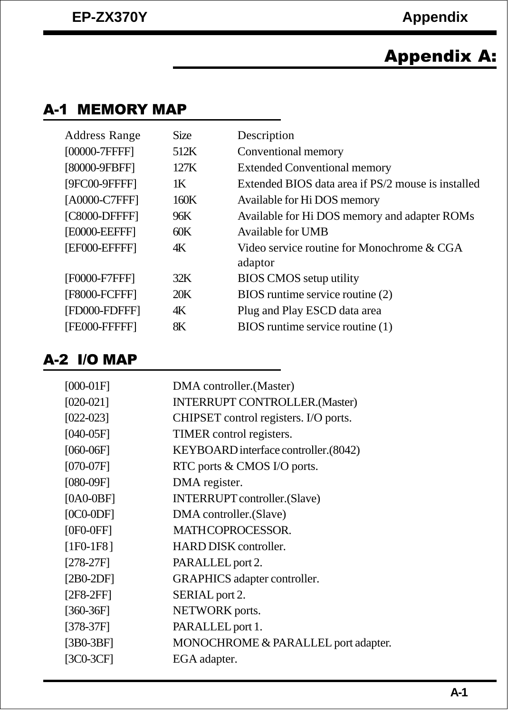### Appendix A:

### A-1 MEMORY MAP

| <b>Address Range</b> | <b>Size</b> | Description                                           |
|----------------------|-------------|-------------------------------------------------------|
| [00000-7FFFF]        | 512K        | Conventional memory                                   |
| [80000-9FBFF]        | 127K        | <b>Extended Conventional memory</b>                   |
| [9FC00-9FFFF]        | 1Κ          | Extended BIOS data area if PS/2 mouse is installed    |
| [A0000-C7FFF]        | 160K        | Available for Hi DOS memory                           |
| [C8000-DFFFF]        | 96K         | Available for Hi DOS memory and adapter ROMs          |
| [E0000-EEFFF]        | 60K         | Available for UMB                                     |
| <b>[EF000-EFFFF]</b> | 4K          | Video service routine for Monochrome & CGA<br>adaptor |
| [F0000-F7FFF]        | 32K         | <b>BIOS CMOS</b> setup utility                        |
| [F8000-FCFFF]        | 20K         | BIOS runtime service routine (2)                      |
| [FD000-FDFFF]        | 4K          | Plug and Play ESCD data area                          |
| <b>IFE000-FFFFFI</b> | 8K          | BIOS runtime service routine (1)                      |

#### A-2 I/O MAP

| $[000-01$ Fl | DMA controller. (Master)              |
|--------------|---------------------------------------|
| $[020-021]$  | <b>INTERRUPT CONTROLLER.</b> (Master) |
| $[022-023]$  | CHIPSET control registers. I/O ports. |
| $[040-05F]$  | TIMER control registers.              |
| $[060-06F]$  | KEYBOARD interface controller. (8042) |
| $[070-07F]$  | RTC ports & CMOS I/O ports.           |
| $[080-09F]$  | DMA register.                         |
| $[0A0-0BF]$  | INTERRUPT controller. (Slave)         |
| $[0C0-0DF]$  | DMA controller. (Slave)               |
| $[0F0-0FF]$  | <b>MATHCOPROCESSOR.</b>               |
| $[1F0-1F8]$  | HARD DISK controller.                 |
| $[278-27F]$  | PARALLEL port 2.                      |
| $[2B0-2DF]$  | GRAPHICS adapter controller.          |
| $[2F8-2FF]$  | SERIAL port 2.                        |
| $[360-36F]$  | NETWORK ports.                        |
| $[378-37F]$  | PARALLEL port 1.                      |
| $[3B0-3BF]$  | MONOCHROME & PARALLEL port adapter.   |
| [3C0-3CF]    | EGA adapter.                          |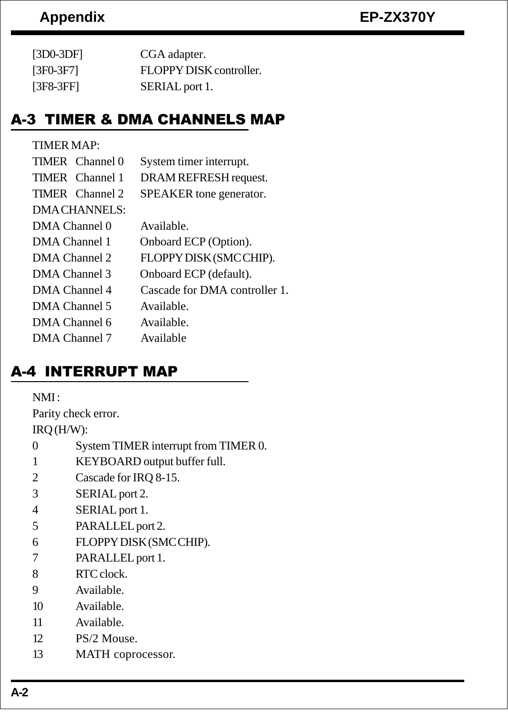| $[3D0-3DF]$ | CGA adapter.            |
|-------------|-------------------------|
| [3F0-3F7]   | FLOPPY DISK controller. |
| [3F8-3FF]   | SERIAL port 1.          |

#### A-3 TIMER & DMA CHANNELS MAP

| <b>TIMER MAP:</b> |                               |
|-------------------|-------------------------------|
| TIMER Channel 0   | System timer interrupt.       |
| TIMER Channel 1   | DRAM REFRESH request.         |
| TIMER Channel 2   | SPEAKER tone generator.       |
| DMA CHANNELS:     |                               |
| DMA Channel 0     | Available.                    |
| DMA Channel 1     | Onboard ECP (Option).         |
| DMA Channel 2     | FLOPPY DISK (SMCCHIP).        |
| DMA Channel 3     | Onboard ECP (default).        |
| DMA Channel 4     | Cascade for DMA controller 1. |
| DMA Channel 5     | Available.                    |
| DMA Channel 6     | Available.                    |
| DMA Channel 7     | Available                     |
|                   |                               |

#### A-4 INTERRUPT MAP

NMI :

Parity check error.

IRQ (H/W):

- 0 System TIMER interrupt from TIMER 0.
- 1 KEYBOARD output buffer full.
- 2 Cascade for IRQ 8-15.
- 3 SERIAL port 2.
- 4 SERIAL port 1.
- 5 PARALLEL port 2.
- 6 FLOPPY DISK (SMC CHIP).
- 7 PARALLEL port 1.
- 8 RTC clock.
- 9 Available.
- 10 Available.
- 11 Available.
- 12 PS/2 Mouse.
- 13 MATH coprocessor.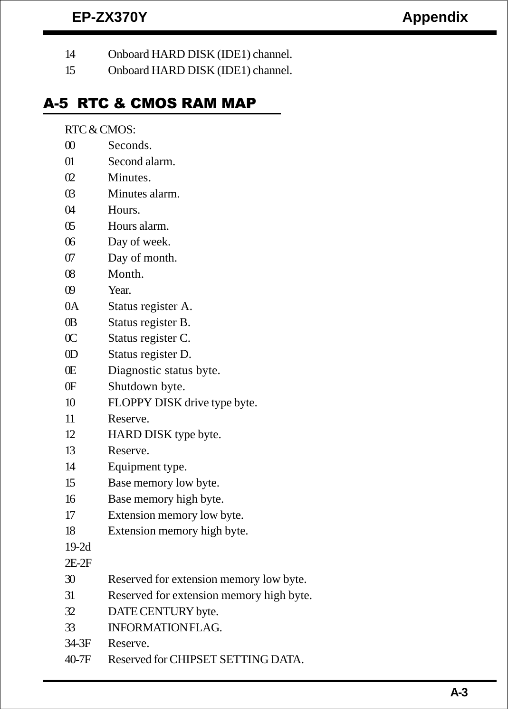- 14 Onboard HARD DISK (IDE1) channel.
- 15 Onboard HARD DISK (IDE1) channel.

#### A-5 RTC & CMOS RAM MAP

RTC & CMOS:

- 00 Seconds.
- 01 Second alarm.
- 02 Minutes.
- 03 Minutes alarm.
- 04 Hours.
- 05 Hours alarm.
- 06 Day of week.
- 07 Day of month.
- 08 Month.
- 09 Year.
- 0A Status register A.
- 0B Status register B.
- 0C Status register C.
- 0D Status register D.
- 0E Diagnostic status byte.
- 0F Shutdown byte.
- 10 FLOPPY DISK drive type byte.
- 11 Reserve.
- 12 HARD DISK type byte.
- 13 Reserve.
- 14 Equipment type.
- 15 Base memory low byte.
- 16 Base memory high byte.
- 17 Extension memory low byte.
- 18 Extension memory high byte.
- 19-2d

2E-2F

- 30 Reserved for extension memory low byte.
- 31 Reserved for extension memory high byte.
- 32 DATE CENTURY byte.
- 33 INFORMATION FLAG.
- 34-3F Reserve.
- 40-7F Reserved for CHIPSET SETTING DATA.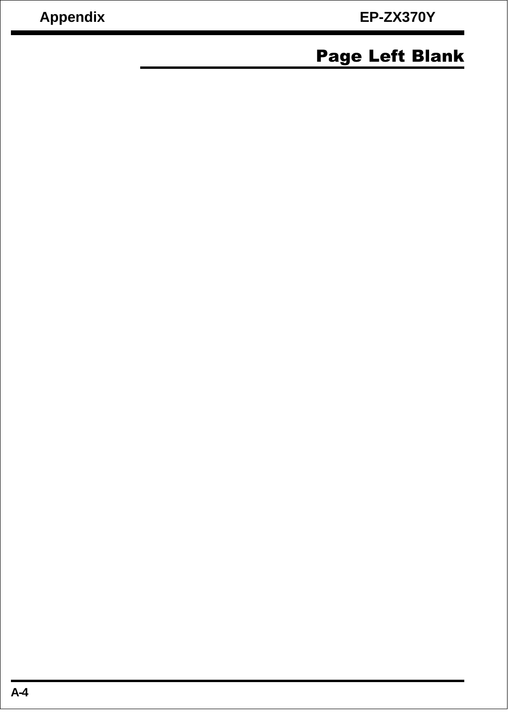# Page Left Blank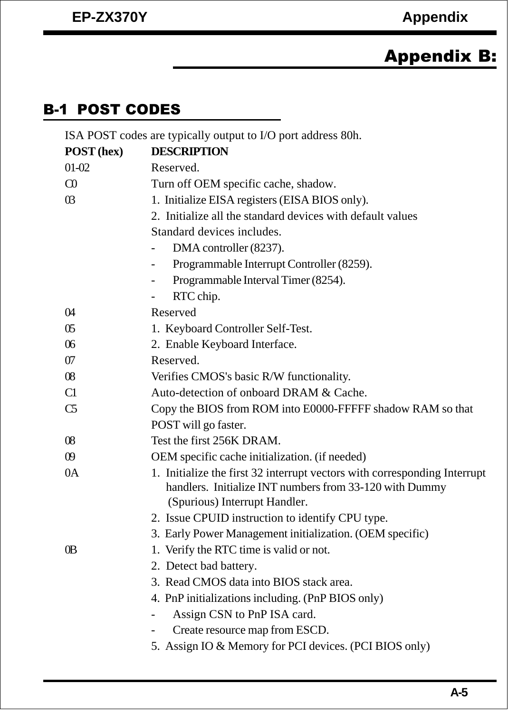### Appendix B:

### B-1 POST CODES

|                    | ISA POST codes are typically output to I/O port address 80h.                                                                                                          |  |
|--------------------|-----------------------------------------------------------------------------------------------------------------------------------------------------------------------|--|
| POST (hex)         | <b>DESCRIPTION</b>                                                                                                                                                    |  |
| 01-02              | Reserved.                                                                                                                                                             |  |
| $\Omega$           | Turn off OEM specific cache, shadow.                                                                                                                                  |  |
| $\boldsymbol{0}$ 3 | 1. Initialize EISA registers (EISA BIOS only).                                                                                                                        |  |
|                    | 2. Initialize all the standard devices with default values                                                                                                            |  |
|                    | Standard devices includes.                                                                                                                                            |  |
|                    | DMA controller (8237).                                                                                                                                                |  |
|                    | Programmable Interrupt Controller (8259).                                                                                                                             |  |
|                    | Programmable Interval Timer (8254).<br>$\overline{\phantom{0}}$                                                                                                       |  |
|                    | RTC chip.<br>$\overline{\phantom{a}}$                                                                                                                                 |  |
| 04                 | Reserved                                                                                                                                                              |  |
| 05                 | 1. Keyboard Controller Self-Test.                                                                                                                                     |  |
| 06                 | 2. Enable Keyboard Interface.                                                                                                                                         |  |
| 07                 | Reserved.                                                                                                                                                             |  |
| 08                 | Verifies CMOS's basic R/W functionality.                                                                                                                              |  |
| C1                 | Auto-detection of onboard DRAM & Cache.                                                                                                                               |  |
| $\mathbb{C}^5$     | Copy the BIOS from ROM into E0000-FFFFF shadow RAM so that                                                                                                            |  |
|                    | POST will go faster.                                                                                                                                                  |  |
| 08                 | Test the first 256K DRAM.                                                                                                                                             |  |
| 09                 | OEM specific cache initialization. (if needed)                                                                                                                        |  |
| 0A                 | 1. Initialize the first 32 interrupt vectors with corresponding Interrupt<br>handlers. Initialize INT numbers from 33-120 with Dummy<br>(Spurious) Interrupt Handler. |  |
|                    | 2. Issue CPUID instruction to identify CPU type.                                                                                                                      |  |
|                    | 3. Early Power Management initialization. (OEM specific)                                                                                                              |  |
| <b>OB</b>          | 1. Verify the RTC time is valid or not.                                                                                                                               |  |
|                    | 2. Detect bad battery.                                                                                                                                                |  |
|                    | 3. Read CMOS data into BIOS stack area.                                                                                                                               |  |
|                    | 4. PnP initializations including. (PnP BIOS only)                                                                                                                     |  |
|                    | Assign CSN to PnP ISA card.<br>$\overline{\phantom{0}}$                                                                                                               |  |
|                    | Create resource map from ESCD.                                                                                                                                        |  |
|                    | 5. Assign IO & Memory for PCI devices. (PCI BIOS only)                                                                                                                |  |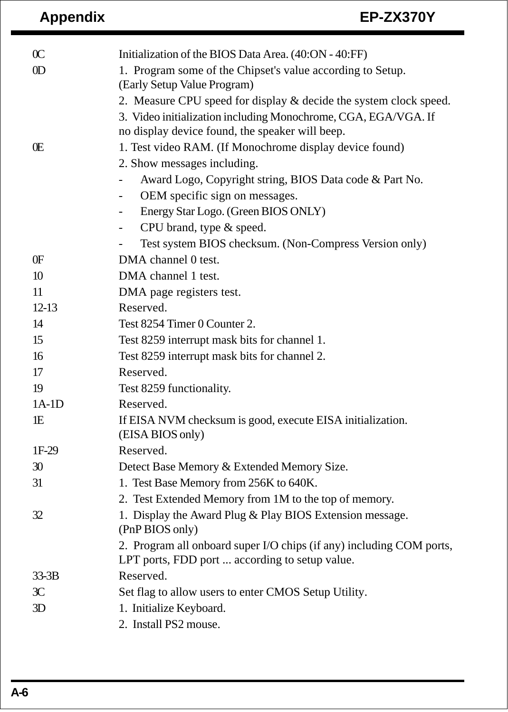| <b>Appendix</b> | <b>EP-ZX370Y</b>                                                            |
|-----------------|-----------------------------------------------------------------------------|
| $\alpha$        | Initialization of the BIOS Data Area. (40:ON - 40:FF)                       |
| 0D              | 1. Program some of the Chipset's value according to Setup.                  |
|                 | (Early Setup Value Program)                                                 |
|                 | 2. Measure CPU speed for display & decide the system clock speed.           |
|                 | 3. Video initialization including Monochrome, CGA, EGA/VGA. If              |
|                 | no display device found, the speaker will beep.                             |
| Œ               | 1. Test video RAM. (If Monochrome display device found)                     |
|                 | 2. Show messages including.                                                 |
|                 | Award Logo, Copyright string, BIOS Data code & Part No.                     |
|                 | OEM specific sign on messages.<br>$\overline{\phantom{a}}$                  |
|                 | Energy Star Logo. (Green BIOS ONLY)                                         |
|                 | CPU brand, type & speed.                                                    |
|                 | Test system BIOS checksum. (Non-Compress Version only)                      |
| 0F              | DMA channel 0 test.                                                         |
| 10              | DMA channel 1 test.                                                         |
| 11              | DMA page registers test.                                                    |
| $12 - 13$       | Reserved.                                                                   |
| 14              | Test 8254 Timer 0 Counter 2.                                                |
| 15              | Test 8259 interrupt mask bits for channel 1.                                |
| 16              | Test 8259 interrupt mask bits for channel 2.                                |
| 17              | Reserved.                                                                   |
| 19              | Test 8259 functionality.                                                    |
| $1A-1D$         | Reserved.                                                                   |
| 1E              | If EISA NVM checksum is good, execute EISA initialization.                  |
|                 | (EISA BIOS only)                                                            |
| 1F-29           | Reserved.                                                                   |
| 30              | Detect Base Memory & Extended Memory Size.                                  |
| 31              | 1. Test Base Memory from 256K to 640K.                                      |
|                 | 2. Test Extended Memory from 1M to the top of memory.                       |
| 32              | 1. Display the Award Plug & Play BIOS Extension message.<br>(PnP BIOS only) |
|                 | 2. Program all onboard super I/O chips (if any) including COM ports,        |
|                 | LPT ports, FDD port  according to setup value.                              |
| $33-3B$         | Reserved.                                                                   |
| 3C              | Set flag to allow users to enter CMOS Setup Utility.                        |
| 3D              | 1. Initialize Keyboard.                                                     |
|                 | 2. Install PS2 mouse.                                                       |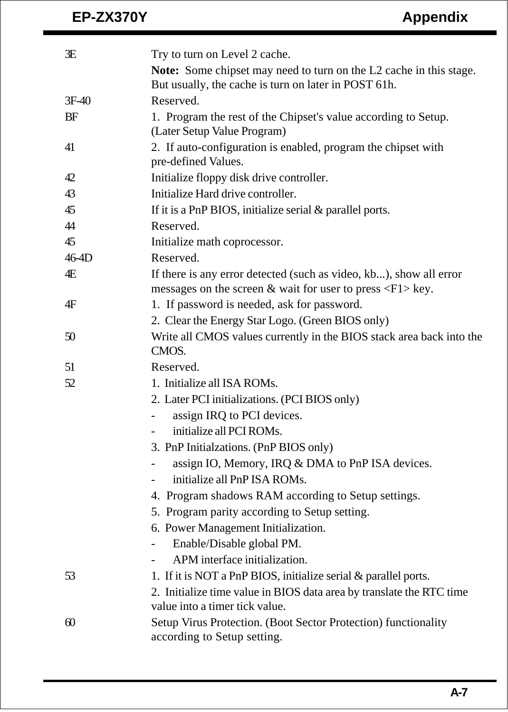| 3E    | Try to turn on Level 2 cache.                                                                                                           |  |
|-------|-----------------------------------------------------------------------------------------------------------------------------------------|--|
|       | Note: Some chipset may need to turn on the L2 cache in this stage.                                                                      |  |
|       | But usually, the cache is turn on later in POST 61h.                                                                                    |  |
| 3F-40 | Reserved.                                                                                                                               |  |
| BF    | 1. Program the rest of the Chipset's value according to Setup.<br>(Later Setup Value Program)                                           |  |
| 41    | 2. If auto-configuration is enabled, program the chipset with<br>pre-defined Values.                                                    |  |
| 42    | Initialize floppy disk drive controller.                                                                                                |  |
| 43    | Initialize Hard drive controller.                                                                                                       |  |
| 45    | If it is a PnP BIOS, initialize serial & parallel ports.                                                                                |  |
| 44    | Reserved.                                                                                                                               |  |
| 45    | Initialize math coprocessor.                                                                                                            |  |
| 46-4D | Reserved.                                                                                                                               |  |
| 4E    | If there is any error detected (such as video, kb), show all error<br>messages on the screen $\&$ wait for user to press <f1> key.</f1> |  |
| 4F    | 1. If password is needed, ask for password.                                                                                             |  |
|       | 2. Clear the Energy Star Logo. (Green BIOS only)                                                                                        |  |
| 50    | Write all CMOS values currently in the BIOS stack area back into the<br>CMOS.                                                           |  |
| 51    | Reserved.                                                                                                                               |  |
| 52    | 1. Initialize all ISA ROMs.                                                                                                             |  |
|       | 2. Later PCI initializations. (PCI BIOS only)                                                                                           |  |
|       | assign IRQ to PCI devices.                                                                                                              |  |
|       | initialize all PCI ROMs.                                                                                                                |  |
|       | 3. PnP Initialzations. (PnP BIOS only)                                                                                                  |  |
|       | assign IO, Memory, IRQ & DMA to PnP ISA devices.                                                                                        |  |
|       | initialize all PnP ISA ROMs.                                                                                                            |  |
|       | 4. Program shadows RAM according to Setup settings.                                                                                     |  |
|       | 5. Program parity according to Setup setting.                                                                                           |  |
|       | 6. Power Management Initialization.                                                                                                     |  |
|       | Enable/Disable global PM.<br>$\frac{1}{2}$                                                                                              |  |
|       | APM interface initialization.                                                                                                           |  |
| 53    | 1. If it is NOT a PnP BIOS, initialize serial & parallel ports.                                                                         |  |
|       | 2. Initialize time value in BIOS data area by translate the RTC time                                                                    |  |
|       | value into a timer tick value.                                                                                                          |  |
| 60    | Setup Virus Protection. (Boot Sector Protection) functionality<br>according to Setup setting.                                           |  |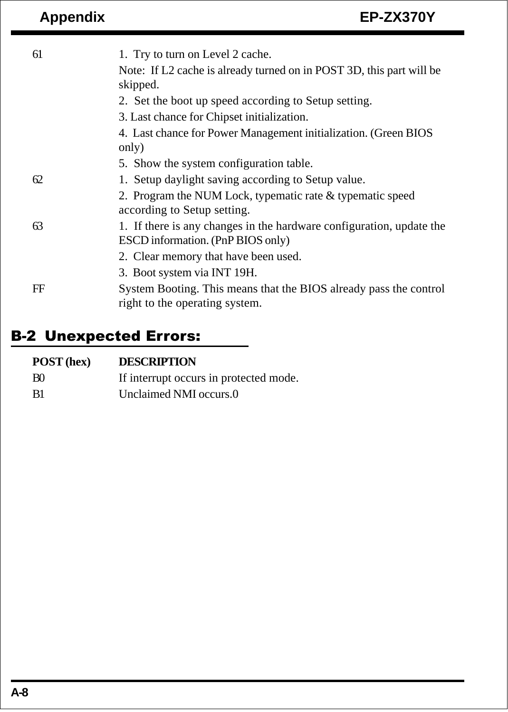| <b>Appendix</b> | <b>EP-ZX370Y</b>                                                                                          |
|-----------------|-----------------------------------------------------------------------------------------------------------|
| 61              | 1. Try to turn on Level 2 cache.                                                                          |
|                 | Note: If L2 cache is already turned on in POST 3D, this part will be<br>skipped.                          |
|                 | 2. Set the boot up speed according to Setup setting.                                                      |
|                 | 3. Last chance for Chipset initialization.                                                                |
|                 | 4. Last chance for Power Management initialization. (Green BIOS<br>only)                                  |
|                 | 5. Show the system configuration table.                                                                   |
| 62              | 1. Setup daylight saving according to Setup value.                                                        |
|                 | 2. Program the NUM Lock, typematic rate & typematic speed<br>according to Setup setting.                  |
| 63              | 1. If there is any changes in the hardware configuration, update the<br>ESCD information. (PnP BIOS only) |
|                 | 2. Clear memory that have been used.                                                                      |
|                 | 3. Boot system via INT 19H.                                                                               |
| FF              | System Booting. This means that the BIOS already pass the control<br>right to the operating system.       |

### B-2 Unexpected Errors:

| POST (hex) | <b>DESCRIPTION</b>                     |  |
|------------|----------------------------------------|--|
| BO.        | If interrupt occurs in protected mode. |  |
| B1         | Unclaimed NMI occurs.0                 |  |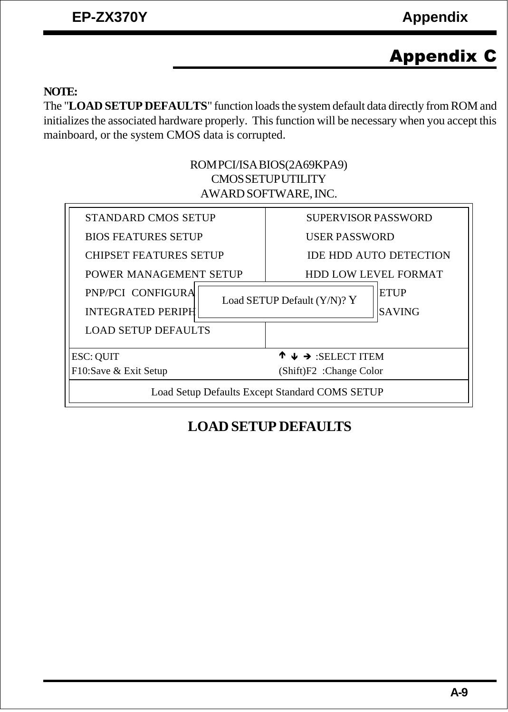### Appendix C

#### **NOTE:**

The "**LOAD SETUP DEFAULTS**" function loads the system default data directly from ROM and initializes the associated hardware properly. This function will be necessary when you accept this mainboard, or the system CMOS data is corrupted.

#### ROM PCI/ISA BIOS(2A69KPA9) CMOS SETUP UTILITY AWARD SOFTWARE, INC.

| STANDARD CMOS SETUP                            | SUPERVISOR PASSWORD                        |  |
|------------------------------------------------|--------------------------------------------|--|
| <b>BIOS FEATURES SETUP</b>                     | <b>USER PASSWORD</b>                       |  |
| <b>CHIPSET FEATURES SETUP</b>                  | <b>IDE HDD AUTO DETECTION</b>              |  |
| POWER MANAGEMENT SETUP                         | <b>HDD LOW LEVEL FORMAT</b>                |  |
| PNP/PCI CONFIGURA                              | <b>ETUP</b><br>Load SETUP Default (Y/N)? Y |  |
| <b>INTEGRATED PERIPH</b>                       | SAVING                                     |  |
| <b>LOAD SETUP DEFAULTS</b>                     |                                            |  |
| <b>ESC: QUIT</b>                               | $\downarrow$ $\rightarrow$ :SELECT ITEM    |  |
| F10:Save & Exit Setup                          | $(Shift)F2$ : Change Color                 |  |
| Load Setup Defaults Except Standard COMS SETUP |                                            |  |

#### **LOAD SETUP DEFAULTS**